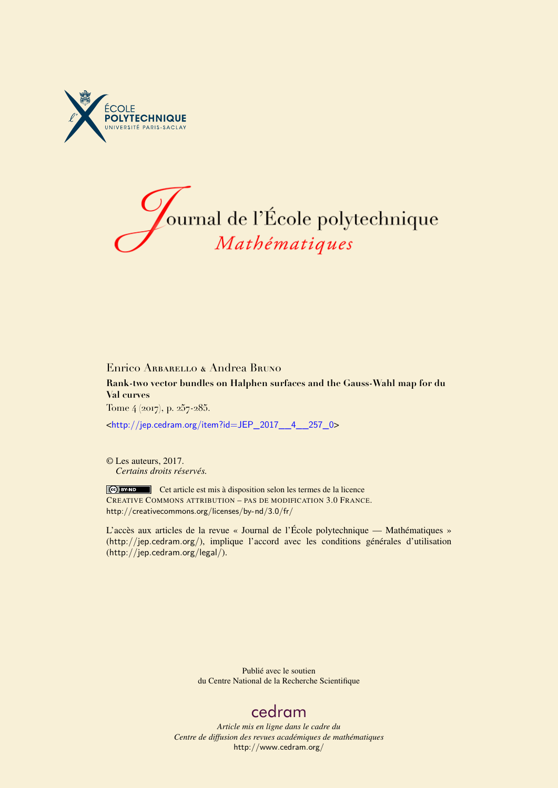



## Enrico Arbarello & Andrea Bruno **Rank-two vector bundles on Halphen surfaces and the Gauss-Wahl map for du Val curves** Tome 4 (2017), p. 257-285.

<[http://jep.cedram.org/item?id=JEP\\_2017\\_\\_4\\_\\_257\\_0](http://jep.cedram.org/item?id=JEP_2017__4__257_0)>

© Les auteurs, 2017. *Certains droits réservés.*

Cet article est mis à disposition selon les termes de la licence CREATIVE COMMONS ATTRIBUTION – PAS DE MODIFICATION 3.0 FRANCE. <http://creativecommons.org/licenses/by-nd/3.0/fr/>

L'accès aux articles de la revue « Journal de l'École polytechnique — Mathématiques » (<http://jep.cedram.org/>), implique l'accord avec les conditions générales d'utilisation (<http://jep.cedram.org/legal/>).

> Publié avec le soutien du Centre National de la Recherche Scientifique

## [cedram](http://www.cedram.org/)

*Article mis en ligne dans le cadre du Centre de diffusion des revues académiques de mathématiques* <http://www.cedram.org/>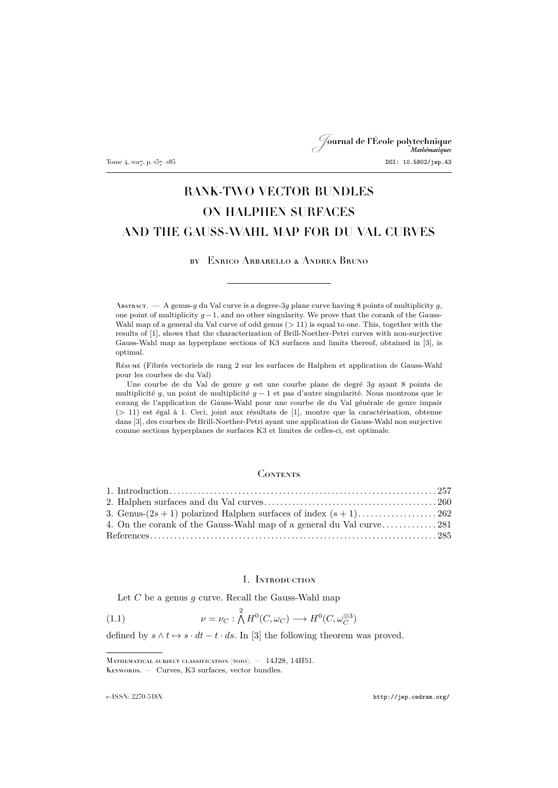Journal de l'École polytechnique Tome 4, 2017, p. 257-285 DOI: 10.5802/jep.43

# RANK-TWO VECTOR BUNDLES ON HALPHEN SURFACES AND THE GAUSS-WAHL MAP FOR DU VAL CURVES

### by Enrico Arbarello & Andrea Bruno

ABSTRACT. — A genus-g du Val curve is a degree-3g plane curve having 8 points of multiplicity g, one point of multiplicity  $q-1$ , and no other singularity. We prove that the corank of the Gauss-Wahl map of a general du Val curve of odd genus ( $> 11$ ) is equal to one. This, together with the results of [\[1\]](#page-29-0), shows that the characterization of Brill-Noether-Petri curves with non-surjective Gauss-Wahl map as hyperplane sections of K3 surfaces and limits thereof, obtained in [\[3\]](#page-29-1), is optimal.

Résumé (Fibrés vectoriels de rang 2 sur les surfaces de Halphen et application de Gauss-Wahl pour les courbes de du Val)

Une courbe de du Val de genre g est une courbe plane de degré 3g ayant 8 points de multiplicité g, un point de multiplicité  $g - 1$  et pas d'autre singularité. Nous montrons que le corang de l'application de Gauss-Wahl pour une courbe de du Val générale de genre impair (> 11) est égal à 1. Ceci, joint aux résultats de [\[1\]](#page-29-0), montre que la caractérisation, obtenue dans [\[3\]](#page-29-1), des courbes de Brill-Noether-Petri ayant une application de Gauss-Wahl non surjective comme sections hyperplanes de surfaces K3 et limites de celles-ci, est optimale.

#### **CONTENTS**

| 4. On the corank of the Gauss-Wahl map of a general du Val curve281 |  |
|---------------------------------------------------------------------|--|
|                                                                     |  |

## <span id="page-1-1"></span>1. Introduction

<span id="page-1-0"></span>Let  $C$  be a genus  $g$  curve. Recall the Gauss-Wahl map

(1.1) 
$$
\nu = \nu_C : \bigwedge^2 H^0(C, \omega_C) \longrightarrow H^0(C, \omega_C^{\otimes 3})
$$

defined by  $s \wedge t \mapsto s \cdot dt - t \cdot ds$ . In [\[3\]](#page-29-1) the following theorem was proved.

MATHEMATICAL SUBJECT CLASSIFICATION (2010). - 14J28, 14H51. KEYWORDS. — Curves, K3 surfaces, vector bundles.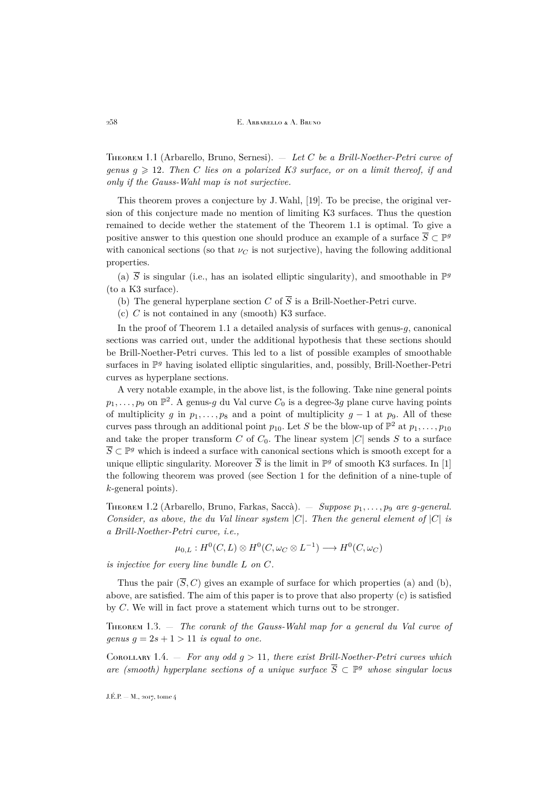<span id="page-2-0"></span>Theorem 1.1 (Arbarello, Bruno, Sernesi). — *Let* C *be a Brill-Noether-Petri curve of genus*  $q \geq 12$ *. Then* C *lies on a polarized K3 surface, or on a limit thereof, if and only if the Gauss-Wahl map is not surjective.*

This theorem proves a conjecture by J.Wahl, [\[19\]](#page-29-3). To be precise, the original version of this conjecture made no mention of limiting K3 surfaces. Thus the question remained to decide wether the statement of the Theorem [1.1](#page-2-0) is optimal. To give a positive answer to this question one should produce an example of a surface  $\overline{S} \subset \mathbb{P}^g$ with canonical sections (so that  $\nu_C$  is not surjective), having the following additional properties.

(a)  $\overline{S}$  is singular (i.e., has an isolated elliptic singularity), and smoothable in  $\mathbb{P}^g$ (to a K3 surface).

- (b) The general hyperplane section C of  $\overline{S}$  is a Brill-Noether-Petri curve.
- $(c)$  C is not contained in any (smooth) K3 surface.

In the proof of Theorem [1.1](#page-2-0) a detailed analysis of surfaces with genus- $q$ , canonical sections was carried out, under the additional hypothesis that these sections should be Brill-Noether-Petri curves. This led to a list of possible examples of smoothable surfaces in  $\mathbb{P}^g$  having isolated elliptic singularities, and, possibly, Brill-Noether-Petri curves as hyperplane sections.

A very notable example, in the above list, is the following. Take nine general points  $p_1, \ldots, p_9$  on  $\mathbb{P}^2$ . A genus-*g* du Val curve  $C_0$  is a degree-3*g* plane curve having points of multiplicity g in  $p_1, \ldots, p_8$  and a point of multiplicity  $g - 1$  at  $p_9$ . All of these curves pass through an additional point  $p_{10}$ . Let S be the blow-up of  $\mathbb{P}^2$  at  $p_1, \ldots, p_{10}$ and take the proper transform C of  $C_0$ . The linear system  $|C|$  sends S to a surface  $\overline{S} \subset \mathbb{P}^g$  which is indeed a surface with canonical sections which is smooth except for a unique elliptic singularity. Moreover  $\overline{S}$  is the limit in  $\mathbb{P}^g$  of smooth K3 surfaces. In [\[1\]](#page-29-0) the following theorem was proved (see Section 1 for the definition of a nine-tuple of k-general points).

<span id="page-2-3"></span>THEOREM 1.2 (Arbarello, Bruno, Farkas, Saccà). — *Suppose*  $p_1, \ldots, p_9$  *are* q-general. *Consider, as above, the du Val linear system* |C|*. Then the general element of* |C| *is a Brill-Noether-Petri curve, i.e.,*

 $\mu_{0,L}: H^0(C, L) \otimes H^0(C, \omega_C \otimes L^{-1}) \longrightarrow H^0(C, \omega_C)$ 

*is injective for every line bundle* L *on* C*.*

Thus the pair  $(\overline{S}, C)$  gives an example of surface for which properties (a) and (b), above, are satisfied. The aim of this paper is to prove that also property (c) is satisfied by C. We will in fact prove a statement which turns out to be stronger.

<span id="page-2-1"></span>Theorem 1.3. — *The corank of the Gauss-Wahl map for a general du Val curve of genus*  $g = 2s + 1 > 11$  *is equal to one.* 

<span id="page-2-2"></span>COROLLARY 1.4.  $-$  *For any odd g >* 11*, there exist Brill-Noether-Petri curves which are (smooth) hyperplane sections of a unique surface*  $\overline{S} \subset \mathbb{P}^g$  whose singular locus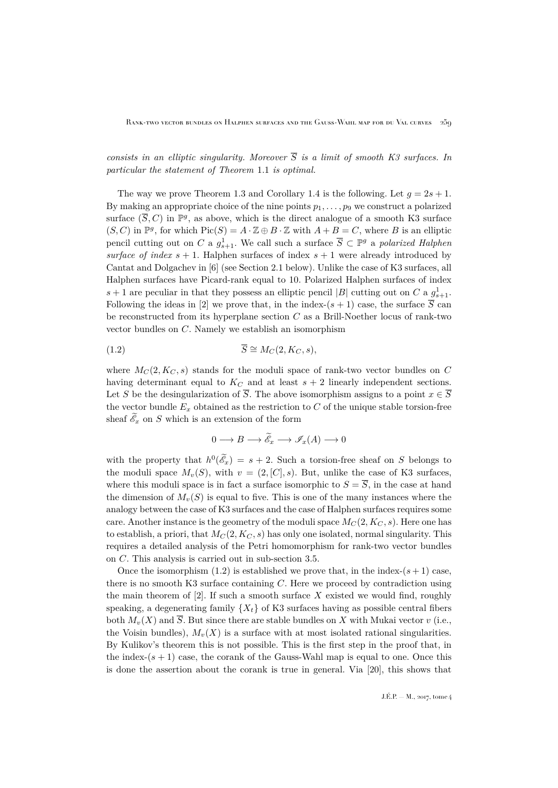*consists in an elliptic singularity. Moreover*  $\overline{S}$  *is a limit of smooth K3 surfaces. In particular the statement of Theorem* [1.1](#page-2-0) *is optimal.*

The way we prove Theorem [1.3](#page-2-1) and Corollary [1.4](#page-2-2) is the following. Let  $q = 2s + 1$ . By making an appropriate choice of the nine points  $p_1, \ldots, p_9$  we construct a polarized surface  $(\overline{S}, C)$  in  $\mathbb{P}^g$ , as above, which is the direct analogue of a smooth K3 surface  $(S, C)$  in  $\mathbb{P}^g$ , for which  $Pic(S) = A \cdot \mathbb{Z} \oplus B \cdot \mathbb{Z}$  with  $A + B = C$ , where B is an elliptic pencil cutting out on C a  $g_{s+1}^1$ . We call such a surface  $\overline{S} \subset \mathbb{P}^g$  a *polarized Halphen surface of index*  $s + 1$ . Halphen surfaces of index  $s + 1$  were already introduced by Cantat and Dolgachev in [\[6\]](#page-29-4) (see Section [2.1](#page-4-1) below). Unlike the case of K3 surfaces, all Halphen surfaces have Picard-rank equal to 10. Polarized Halphen surfaces of index  $s+1$  are peculiar in that they possess an elliptic pencil |B| cutting out on C a  $g_{s+1}^1$ . Following the ideas in [\[2\]](#page-29-5) we prove that, in the index-(s + 1) case, the surface  $\overline{S}$  can be reconstructed from its hyperplane section  $C$  as a Brill-Noether locus of rank-two vector bundles on C. Namely we establish an isomorphism

$$
\overline{S} \cong M_C(2, K_C, s),
$$
 (1.2)

where  $M_C(2, K_C, s)$  stands for the moduli space of rank-two vector bundles on C having determinant equal to  $K_C$  and at least  $s + 2$  linearly independent sections. Let S be the desingularization of  $\overline{S}$ . The above isomorphism assigns to a point  $x \in \overline{S}$ the vector bundle  $E_x$  obtained as the restriction to C of the unique stable torsion-free sheaf  $\mathscr{E}_x$  on S which is an extension of the form

<span id="page-3-0"></span>
$$
0 \longrightarrow B \longrightarrow \widetilde{\mathscr{E}}_x \longrightarrow \mathscr{I}_x(A) \longrightarrow 0
$$

with the property that  $h^0(\mathscr{E}_x) = s + 2$ . Such a torsion-free sheaf on S belongs to the moduli space  $M_v(S)$ , with  $v = (2, [C], s)$ . But, unlike the case of K3 surfaces, where this moduli space is in fact a surface isomorphic to  $S = \overline{S}$ , in the case at hand the dimension of  $M_{v}(S)$  is equal to five. This is one of the many instances where the analogy between the case of K3 surfaces and the case of Halphen surfaces requires some care. Another instance is the geometry of the moduli space  $M_C(2, K_C, s)$ . Here one has to establish, a priori, that  $M_C(2, K_C, s)$  has only one isolated, normal singularity. This requires a detailed analysis of the Petri homomorphism for rank-two vector bundles on C. This analysis is carried out in sub-section [3.5.](#page-19-0)

Once the isomorphism  $(1.2)$  is established we prove that, in the index- $(s + 1)$  case, there is no smooth K3 surface containing  $C$ . Here we proceed by contradiction using the main theorem of  $[2]$ . If such a smooth surface X existed we would find, roughly speaking, a degenerating family  $\{X_t\}$  of K3 surfaces having as possible central fibers both  $M_v(X)$  and  $\overline{S}$ . But since there are stable bundles on X with Mukai vector v (i.e., the Voisin bundles),  $M_{v}(X)$  is a surface with at most isolated rational singularities. By Kulikov's theorem this is not possible. This is the first step in the proof that, in the index- $(s + 1)$  case, the corank of the Gauss-Wahl map is equal to one. Once this is done the assertion about the corank is true in general. Via [\[20\]](#page-29-6), this shows that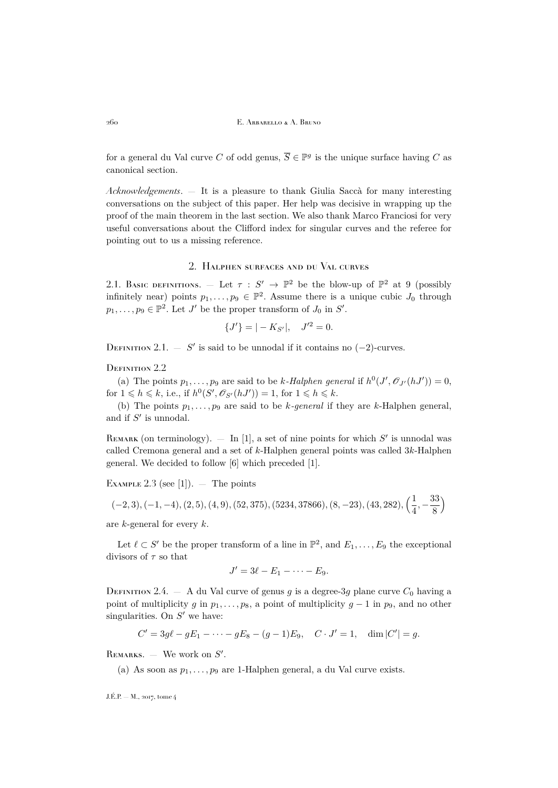for a general du Val curve C of odd genus,  $\overline{S} \in \mathbb{P}^g$  is the unique surface having C as canonical section.

*Acknowledgements*. — It is a pleasure to thank Giulia Saccà for many interesting conversations on the subject of this paper. Her help was decisive in wrapping up the proof of the main theorem in the last section. We also thank Marco Franciosi for very useful conversations about the Clifford index for singular curves and the referee for pointing out to us a missing reference.

#### 2. Halphen surfaces and du Val curves

<span id="page-4-1"></span><span id="page-4-0"></span>2.1. Basic definitions.  $-$  Let  $\tau : S' \to \mathbb{P}^2$  be the blow-up of  $\mathbb{P}^2$  at 9 (possibly infinitely near) points  $p_1, \ldots, p_9 \in \mathbb{P}^2$ . Assume there is a unique cubic  $J_0$  through  $p_1, \ldots, p_9 \in \mathbb{P}^2$ . Let J' be the proper transform of  $J_0$  in  $S'$ .

$$
\{J'\} = |-K_{S'}|, \quad J'^2 = 0.
$$

DEFINITION 2.1. — S' is said to be unnodal if it contains no  $(-2)$ -curves.

### DEFINITION 2.2

(a) The points  $p_1, \ldots, p_9$  are said to be k-Halphen general if  $h^0(J', \mathcal{O}_{J'}(hJ')) = 0$ , for  $1 \leqslant h \leqslant k$ , i.e., if  $h^0(S', \mathscr{O}_{S'}(hJ')) = 1$ , for  $1 \leqslant h \leqslant k$ .

(b) The points  $p_1, \ldots, p_9$  are said to be k-general if they are k-Halphen general, and if  $S'$  is unnodal.

REMARK (on terminology).  $-$  In [\[1\]](#page-29-0), a set of nine points for which  $S'$  is unnodal was called Cremona general and a set of k-Halphen general points was called 3k-Halphen general. We decided to follow [\[6\]](#page-29-4) which preceded [\[1\]](#page-29-0).

EXAMPLE 2.3 (see [\[1\]](#page-29-0)).  $-$  The points

$$
(-2,3), (-1,-4), (2,5), (4,9), (52,375), (5234,37866), (8,-23), (43,282), \left(\frac{1}{4}, -\frac{33}{8}\right)
$$

are k-general for every k.

Let  $\ell \subset S'$  be the proper transform of a line in  $\mathbb{P}^2$ , and  $E_1, \ldots, E_9$  the exceptional divisors of  $\tau$  so that

$$
J'=3\ell-E_1-\cdots-E_9.
$$

DEFINITION 2.4. — A du Val curve of genus g is a degree-3g plane curve  $C_0$  having a point of multiplicity g in  $p_1, \ldots, p_8$ , a point of multiplicity  $g - 1$  in  $p_9$ , and no other singularities. On  $S'$  we have:

$$
C' = 3g\ell - gE_1 - \dots - gE_8 - (g-1)E_9, \quad C \cdot J' = 1, \quad \dim |C'| = g.
$$

REMARKS.  $-$  We work on  $S'$ .

(a) As soon as  $p_1, \ldots, p_9$  are 1-Halphen general, a du Val curve exists.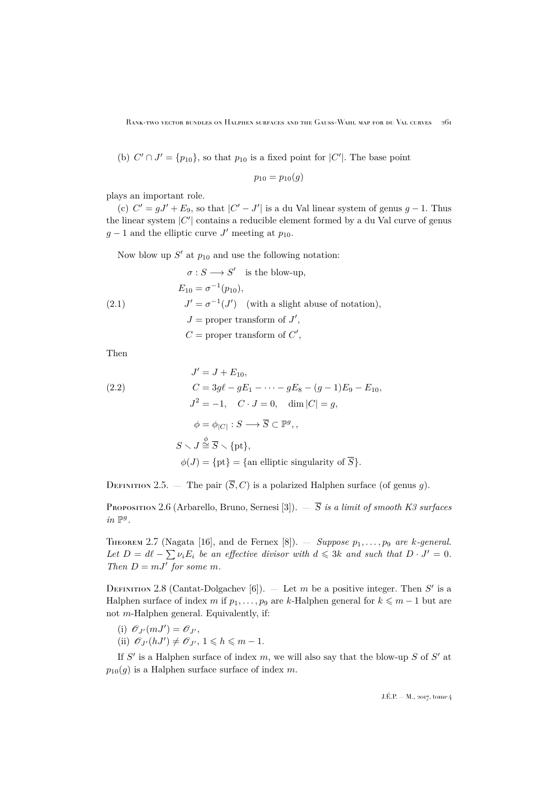(b)  $C' \cap J' = \{p_{10}\}\$ , so that  $p_{10}$  is a fixed point for  $|C'|$ . The base point

$$
p_{10} = p_{10}(g)
$$

plays an important role.

(c)  $C' = gJ' + E_9$ , so that  $|C' - J'|$  is a du Val linear system of genus  $g - 1$ . Thus the linear system  $|C'|$  contains a reducible element formed by a du Val curve of genus  $g-1$  and the elliptic curve J' meeting at  $p_{10}$ .

Now blow up  $S'$  at  $p_{10}$  and use the following notation:

<span id="page-5-0"></span>(2.1) 
$$
\sigma : S \longrightarrow S' \text{ is the blow-up,}
$$

$$
E_{10} = \sigma^{-1}(p_{10}),
$$

$$
J' = \sigma^{-1}(J') \text{ (with a slight abuse of notation),}
$$

$$
J = \text{proper transform of } J',
$$

$$
C = \text{proper transform of } C',
$$

Then

<span id="page-5-1"></span>(2.2)  
\n
$$
J' = J + E_{10},
$$
\n
$$
C = 3g\ell - gE_1 - \dots - gE_8 - (g - 1)E_9 - E_{10},
$$
\n
$$
J^2 = -1, \quad C \cdot J = 0, \quad \dim |C| = g,
$$
\n
$$
\phi = \phi_{|C|} : S \longrightarrow \overline{S} \subset \mathbb{P}^g,
$$
\n
$$
S \setminus J \stackrel{\phi}{\cong} \overline{S} \setminus \{\text{pt}\},
$$
\n
$$
\phi(J) = \{\text{pt}\} = \{\text{an elliptic singularity of } \overline{S}\}.
$$

DEFINITION 2.5. — The pair  $(\overline{S}, C)$  is a polarized Halphen surface (of genus g).

Proposition 2.6 (Arbarello, Bruno, Sernesi [\[3\]](#page-29-1)).  $-\overline{S}$  *is a limit of smooth K3 surfaces*  $in \mathbb{P}^g$ .

<span id="page-5-2"></span>THEOREM 2.7 (Nagata [\[16\]](#page-29-7), and de Fernex [\[8\]](#page-29-8)).  $-$  *Suppose*  $p_1, \ldots, p_9$  *are k*-general. Let  $D = d\ell - \sum_i \nu_i E_i$  be an effective divisor with  $d \leqslant 3k$  and such that  $D \cdot J' = 0$ . *Then*  $D = mJ'$  *for some m*.

DEFINITION 2.8 (Cantat-Dolgachev [\[6\]](#page-29-4)).  $-$  Let m be a positive integer. Then S' is a Halphen surface of index m if  $p_1, \ldots, p_9$  are k-Halphen general for  $k \leq m-1$  but are not m-Halphen general. Equivalently, if:

- (i)  $\mathscr{O}_{J'}(mJ') = \mathscr{O}_{J'}$ ,
- (ii)  $\mathscr{O}_{J'}(hJ') \neq \mathscr{O}_{J'}$ ,  $1 \leq h \leq m-1$ .

If  $S'$  is a Halphen surface of index m, we will also say that the blow-up S of  $S'$  at  $p_{10}(g)$  is a Halphen surface surface of index m.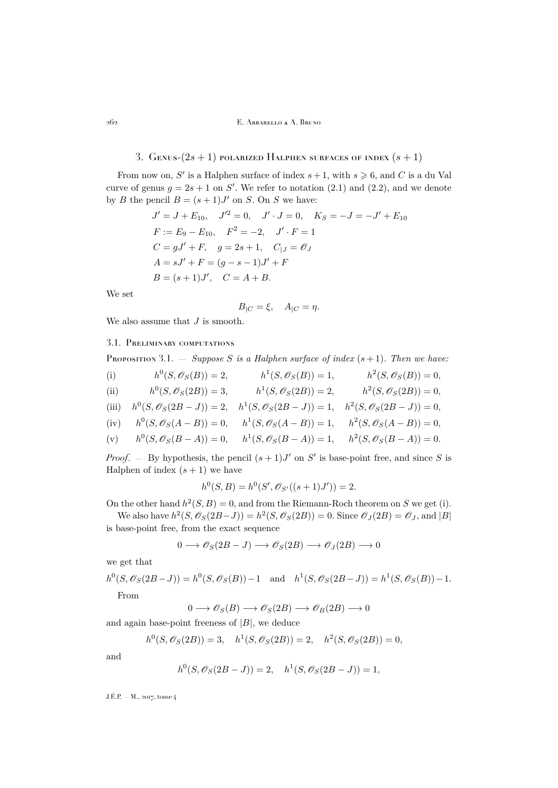## 3. GENUS- $(2s + 1)$  polarized Halphen surfaces of index  $(s + 1)$

<span id="page-6-0"></span>From now on, S' is a Halphen surface of index  $s + 1$ , with  $s \ge 6$ , and C is a du Val curve of genus  $g = 2s + 1$  on S'. We refer to notation [\(2.1\)](#page-5-0) and [\(2.2\)](#page-5-1), and we denote by B the pencil  $B = (s + 1)J'$  on S. On S we have:

$$
J' = J + E_{10}, \quad J'^2 = 0, \quad J' \cdot J = 0, \quad K_S = -J = -J' + E_{10}
$$
  
\n
$$
F := E_9 - E_{10}, \quad F^2 = -2, \quad J' \cdot F = 1
$$
  
\n
$$
C = gJ' + F, \quad g = 2s + 1, \quad C_{|J} = \mathcal{O}_J
$$
  
\n
$$
A = sJ' + F = (g - s - 1)J' + F
$$
  
\n
$$
B = (s + 1)J', \quad C = A + B.
$$

We set

$$
B_{|C} = \xi, \quad A_{|C} = \eta.
$$

We also assume that  ${\cal J}$  is smooth.

## 3.1. Preliminary computations

<span id="page-6-1"></span>PROPOSITION 3.1.  $-$  *Suppose S is a Halphen surface of index*  $(s+1)$ *. Then we have:* 

- (i)  $h^0(S, \mathscr{O}_S(B)) = 2, \qquad h^1(S, \mathscr{O}_S(B)) = 1, \qquad h^2(S, \mathscr{O}_S(B)) = 0,$
- (ii)  $h^0(S, \mathscr{O}_S(2B)) = 3, \qquad h^1(S, \mathscr{O}_S(2B)) = 2, \qquad h^2(S, \mathscr{O}_S(2B)) = 0,$
- (iii)  $h^0(S, \mathscr{O}_S(2B J)) = 2, \quad h^1(S, \mathscr{O}_S(2B J)) = 1, \quad h^2(S, \mathscr{O}_S(2B J)) = 0,$
- (iv)  $h^0(S, \mathscr{O}_S(A B)) = 0, \quad h^1(S, \mathscr{O}_S(A B)) = 1, \quad h^2(S, \mathscr{O}_S(A B)) = 0,$
- (v)  $h^0(S, \mathscr{O}_S(B-A)) = 0, \quad h^1(S, \mathscr{O}_S(B-A)) = 1, \quad h^2(S, \mathscr{O}_S(B-A)) = 0.$

*Proof.* – By hypothesis, the pencil  $(s + 1)J'$  on S' is base-point free, and since S is Halphen of index  $(s + 1)$  we have

$$
h^{0}(S, B) = h^{0}(S', \mathscr{O}_{S'}((s+1)J')) = 2.
$$

On the other hand  $h^2(S, B) = 0$ , and from the Riemann-Roch theorem on S we get (i).

We also have  $h^2(S, \mathscr{O}_S(2B-J)) = h^2(S, \mathscr{O}_S(2B)) = 0$ . Since  $\mathscr{O}_J(2B) = \mathscr{O}_J$ , and |B| is base-point free, from the exact sequence

$$
0 \longrightarrow \mathscr{O}_S(2B - J) \longrightarrow \mathscr{O}_S(2B) \longrightarrow \mathscr{O}_J(2B) \longrightarrow 0
$$

we get that

$$
h^{0}(S, \mathscr{O}_{S}(2B-J)) = h^{0}(S, \mathscr{O}_{S}(B)) - 1 \text{ and } h^{1}(S, \mathscr{O}_{S}(2B-J)) = h^{1}(S, \mathscr{O}_{S}(B)) - 1.
$$
  
From

From

$$
0 \longrightarrow \mathscr{O}_S(B) \longrightarrow \mathscr{O}_S(2B) \longrightarrow \mathscr{O}_B(2B) \longrightarrow 0
$$

and again base-point freeness of  $|B|$ , we deduce

$$
h^{0}(S, \mathscr{O}_{S}(2B)) = 3, \quad h^{1}(S, \mathscr{O}_{S}(2B)) = 2, \quad h^{2}(S, \mathscr{O}_{S}(2B)) = 0,
$$

and

$$
h^{0}(S, \mathscr{O}_{S}(2B - J)) = 2, \quad h^{1}(S, \mathscr{O}_{S}(2B - J)) = 1,
$$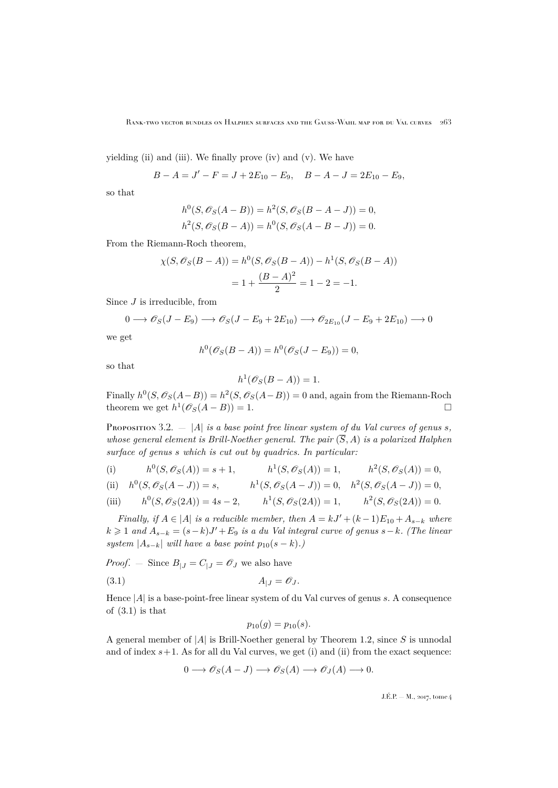yielding (ii) and (iii). We finally prove (iv) and (v). We have

$$
B - A = J' - F = J + 2E_{10} - E_9, \quad B - A - J = 2E_{10} - E_9,
$$

so that

$$
h^{0}(S, \mathscr{O}_{S}(A - B)) = h^{2}(S, \mathscr{O}_{S}(B - A - J)) = 0,
$$
  

$$
h^{2}(S, \mathscr{O}_{S}(B - A)) = h^{0}(S, \mathscr{O}_{S}(A - B - J)) = 0.
$$

From the Riemann-Roch theorem,

$$
\chi(S, \mathscr{O}_S(B-A)) = h^0(S, \mathscr{O}_S(B-A)) - h^1(S, \mathscr{O}_S(B-A))
$$

$$
= 1 + \frac{(B-A)^2}{2} = 1 - 2 = -1.
$$

Since  $J$  is irreducible, from

$$
0 \longrightarrow \mathscr{O}_S(J - E_9) \longrightarrow \mathscr{O}_S(J - E_9 + 2E_{10}) \longrightarrow \mathscr{O}_{2E_{10}}(J - E_9 + 2E_{10}) \longrightarrow 0
$$

we get

$$
h^{0}(\mathscr{O}_{S}(B-A)) = h^{0}(\mathscr{O}_{S}(J - E_{9})) = 0,
$$

so that

$$
h^1(\mathscr{O}_S(B-A))=1.
$$

Finally  $h^0(S, \mathscr{O}_S(A-B)) = h^2(S, \mathscr{O}_S(A-B)) = 0$  and, again from the Riemann-Roch theorem we get  $h^1(\mathscr{O}_S(A-B))=1$ .

<span id="page-7-1"></span>PROPOSITION 3.2.  $-$  |A| *is a base point free linear system of du Val curves of genus s*, *whose general element is Brill-Noether general. The pair*  $(\overline{S}, A)$  *is a polarized Halphen surface of genus* s *which is cut out by quadrics. In particular:*

(i) 
$$
h^0(S, \mathcal{O}_S(A)) = s + 1,
$$
  $h^1(S, \mathcal{O}_S(A)) = 1,$   $h^2(S, \mathcal{O}_S(A)) = 0,$ 

(ii) 
$$
h^0(S, \mathcal{O}_S(A - J)) = s
$$
,  $h^1(S, \mathcal{O}_S(A - J)) = 0$ ,  $h^2(S, \mathcal{O}_S(A - J)) = 0$ ,

(iii) 
$$
h^0(S, \mathcal{O}_S(2A)) = 4s - 2
$$
,  $h^1(S, \mathcal{O}_S(2A)) = 1$ ,  $h^2(S, \mathcal{O}_S(2A)) = 0$ .

*Finally, if*  $A \in |A|$  *is a reducible member, then*  $A = kJ' + (k-1)E_{10} + A_{s-k}$  *where*  $k \geq 1$  and  $A_{s-k} = (s-k)J' + E_9$  *is a du Val integral curve of genus*  $s-k$ *. (The linear system*  $|A_{s-k}|$  *will have a base point*  $p_{10}(s-k)$ *.*)

*Proof.* – Since 
$$
B_{|J} = C_{|J} = \mathcal{O}_J
$$
 we also have

$$
(3.1) \t\t A_{|J} = \mathcal{O}_J.
$$

Hence  $|A|$  is a base-point-free linear system of du Val curves of genus s. A consequence of  $(3.1)$  is that

<span id="page-7-0"></span>
$$
p_{10}(g) = p_{10}(s).
$$

A general member of  $|A|$  is Brill-Noether general by Theorem [1.2,](#page-2-3) since S is unnodal and of index  $s+1$ . As for all du Val curves, we get (i) and (ii) from the exact sequence:

$$
0 \longrightarrow \mathscr{O}_S(A-J) \longrightarrow \mathscr{O}_S(A) \longrightarrow \mathscr{O}_J(A) \longrightarrow 0.
$$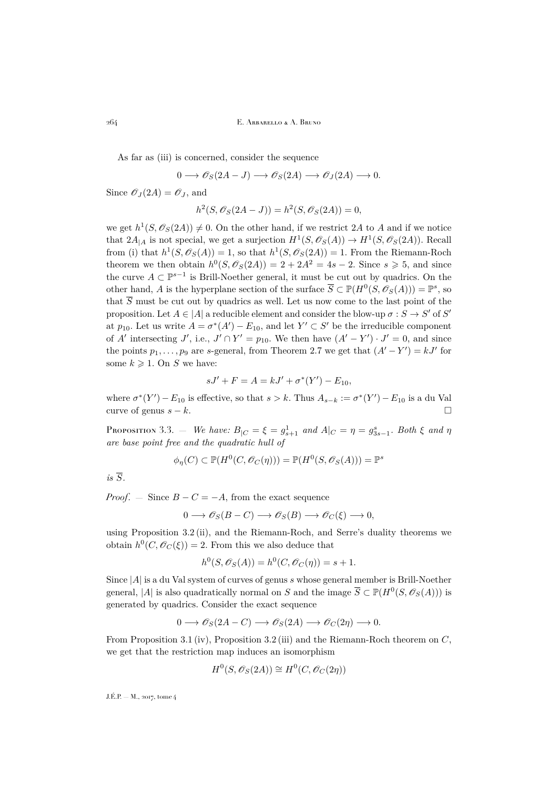As far as (iii) is concerned, consider the sequence

$$
0 \longrightarrow \mathscr{O}_S(2A-J) \longrightarrow \mathscr{O}_S(2A) \longrightarrow \mathscr{O}_J(2A) \longrightarrow 0.
$$

Since  $\mathscr{O}_J(2A) = \mathscr{O}_J$ , and

$$
h^{2}(S, \mathscr{O}_{S}(2A-J)) = h^{2}(S, \mathscr{O}_{S}(2A)) = 0,
$$

we get  $h^1(S, \mathscr{O}_S(2A)) \neq 0$ . On the other hand, if we restrict 2A to A and if we notice that  $2A_{|A}$  is not special, we get a surjection  $H^1(S, \mathcal{O}_S(A)) \to H^1(S, \mathcal{O}_S(2A))$ . Recall from (i) that  $h^1(S, \mathscr{O}_S(A)) = 1$ , so that  $h^1(S, \mathscr{O}_S(2A)) = 1$ . From the Riemann-Roch theorem we then obtain  $h^0(S, \mathscr{O}_S(2A)) = 2 + 2A^2 = 4s - 2$ . Since  $s \ge 5$ , and since the curve  $A \subset \mathbb{P}^{s-1}$  is Brill-Noether general, it must be cut out by quadrics. On the other hand, A is the hyperplane section of the surface  $\overline{S} \subset \mathbb{P}(H^0(S, \mathscr{O}_S(A))) = \mathbb{P}^s$ , so that  $\overline{S}$  must be cut out by quadrics as well. Let us now come to the last point of the proposition. Let  $A \in |A|$  a reducible element and consider the blow-up  $\sigma : S \to S'$  of S' at  $p_{10}$ . Let us write  $A = \sigma^*(A') - E_{10}$ , and let  $Y' \subset S'$  be the irreducible component of A' intersecting J', i.e.,  $J' \cap Y' = p_{10}$ . We then have  $(A' - Y') \cdot J' = 0$ , and since the points  $p_1, \ldots, p_9$  are s-general, from Theorem [2.7](#page-5-2) we get that  $(A' - Y') = kJ'$  for some  $k \geqslant 1$ . On S we have:

$$
sJ' + F = A = kJ' + \sigma^*(Y') - E_{10},
$$

where  $\sigma^*(Y') - E_{10}$  is effective, so that  $s > k$ . Thus  $A_{s-k} := \sigma^*(Y') - E_{10}$  is a du Val curve of genus  $s - k$ .

<span id="page-8-0"></span>Proposition 3.3. — *We have:*  $B_{|C} = \xi = g_{s+1}^1$  *and*  $A_{|C} = \eta = g_{3s-1}^s$ *. Both*  $\xi$  *and*  $\eta$ *are base point free and the quadratic hull of*

$$
\phi_{\eta}(C) \subset \mathbb{P}(H^0(C, \mathcal{O}_C(\eta))) = \mathbb{P}(H^0(S, \mathcal{O}_S(A))) = \mathbb{P}^s
$$

 $is\ \overline{S}$ .

*Proof.* — Since  $B - C = -A$ , from the exact sequence

$$
0 \longrightarrow \mathscr{O}_S(B-C) \longrightarrow \mathscr{O}_S(B) \longrightarrow \mathscr{O}_C(\xi) \longrightarrow 0,
$$

using Proposition [3.2](#page-7-1) (ii), and the Riemann-Roch, and Serre's duality theorems we obtain  $h^0(C, \mathscr{O}_C(\xi)) = 2$ . From this we also deduce that

$$
h^{0}(S, \mathscr{O}_{S}(A)) = h^{0}(C, \mathscr{O}_{C}(\eta)) = s + 1.
$$

Since  $|A|$  is a du Val system of curves of genus s whose general member is Brill-Noether general, |A| is also quadratically normal on S and the image  $\overline{S} \subset \mathbb{P}(H^0(S, \mathscr{O}_S(A)))$  is generated by quadrics. Consider the exact sequence

$$
0 \longrightarrow \mathscr{O}_S(2A - C) \longrightarrow \mathscr{O}_S(2A) \longrightarrow \mathscr{O}_C(2\eta) \longrightarrow 0.
$$

From Proposition [3.1](#page-6-1) (iv), Proposition [3.2](#page-7-1) (iii) and the Riemann-Roch theorem on C, we get that the restriction map induces an isomorphism

$$
H^0(S, \mathscr{O}_S(2A)) \cong H^0(C, \mathscr{O}_C(2\eta))
$$

 $J.E.P. = M$ , 2017, tome 4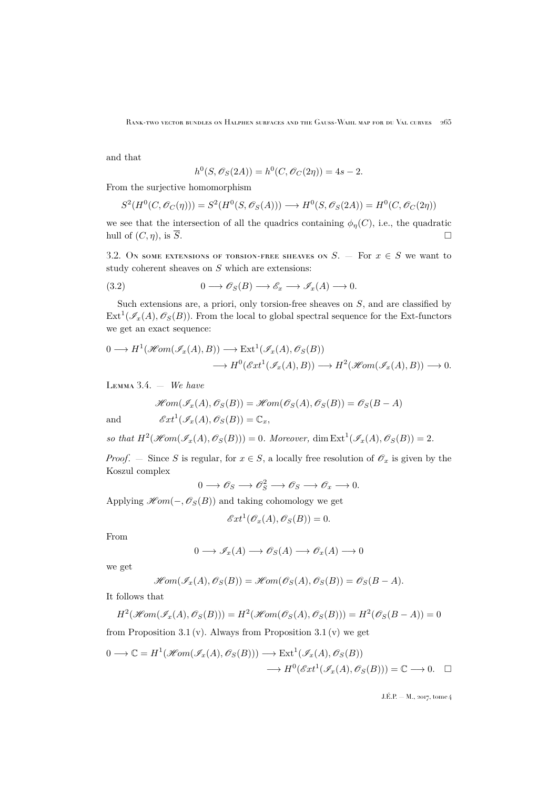and that

$$
h^{0}(S, \mathscr{O}_{S}(2A)) = h^{0}(C, \mathscr{O}_{C}(2\eta)) = 4s - 2.
$$

From the surjective homomorphism

$$
S^2(H^0(C, \mathcal{O}_C(\eta))) = S^2(H^0(S, \mathcal{O}_S(A))) \longrightarrow H^0(S, \mathcal{O}_S(2A)) = H^0(C, \mathcal{O}_C(2\eta))
$$

we see that the intersection of all the quadrics containing  $\phi_n(C)$ , i.e., the quadratic hull of  $(C, \eta)$ , is  $\overline{S}$ .

3.2. On some extensions of torsion-free sheaves on  $S$ . – For  $x \in S$  we want to study coherent sheaves on  $S$  which are extensions:

<span id="page-9-0"></span>(3.2) 
$$
0 \longrightarrow \mathcal{O}_S(B) \longrightarrow \mathcal{E}_x \longrightarrow \mathcal{I}_x(A) \longrightarrow 0.
$$

Such extensions are, a priori, only torsion-free sheaves on S, and are classified by  $\text{Ext}^1(\mathscr{I}_x(A), \mathscr{O}_S(B))$ . From the local to global spectral sequence for the Ext-functors we get an exact sequence:

$$
0 \longrightarrow H^1(\mathcal{H}om(\mathcal{I}_x(A), B)) \longrightarrow \text{Ext}^1(\mathcal{I}_x(A), \mathcal{O}_S(B))
$$
  

$$
\longrightarrow H^0(\mathcal{E}xt^1(\mathcal{I}_x(A), B)) \longrightarrow H^2(\mathcal{H}om(\mathcal{I}_x(A), B)) \longrightarrow 0.
$$

Lemma 3.4. — *We have*

$$
\mathcal{H}om(\mathcal{I}_x(A), \mathcal{O}_S(B)) = \mathcal{H}om(\mathcal{O}_S(A), \mathcal{O}_S(B)) = \mathcal{O}_S(B - A)
$$

and  $\mathscr{E}xt^1(\mathscr{I}_x(A),\mathscr{O}_S(B))=\mathbb{C}_x,$ 

*so that*  $H^2(\mathcal{H}om(\mathcal{I}_x(A), \mathcal{O}_S(B))) = 0$ *. Moreover,* dim  $\text{Ext}^1(\mathcal{I}_x(A), \mathcal{O}_S(B)) = 2$ *.* 

*Proof.* — Since S is regular, for  $x \in S$ , a locally free resolution of  $\mathscr{O}_x$  is given by the Koszul complex

$$
0 \longrightarrow \mathscr{O}_S \longrightarrow \mathscr{O}_S^2 \longrightarrow \mathscr{O}_S \longrightarrow \mathscr{O}_x \longrightarrow 0.
$$

Applying  $\mathscr{H}om(-,\mathscr{O}_S(B))$  and taking cohomology we get

$$
\mathscr{E}xt^1(\mathscr{O}_x(A),\mathscr{O}_S(B))=0.
$$

From

$$
0 \longrightarrow \mathscr{I}_x(A) \longrightarrow \mathscr{O}_S(A) \longrightarrow \mathscr{O}_x(A) \longrightarrow 0
$$

we get

$$
\mathscr{H}\!\mathit{om}(\mathscr{I}_x(A), \mathscr{O}_S(B)) = \mathscr{H}\!\mathit{om}(\mathscr{O}_S(A), \mathscr{O}_S(B)) = \mathscr{O}_S(B-A).
$$

It follows that

$$
H^2(\mathcal{H}om(\mathcal{I}_x(A),\mathcal{O}_S(B)))=H^2(\mathcal{H}om(\mathcal{O}_S(A),\mathcal{O}_S(B)))=H^2(\mathcal{O}_S(B-A))=0
$$

from Proposition [3.1](#page-6-1) (v). Always from Proposition 3.1 (v) we get

$$
0 \longrightarrow \mathbb{C} = H^1(\mathcal{H}om(\mathcal{I}_x(A), \mathcal{O}_S(B))) \longrightarrow \text{Ext}^1(\mathcal{I}_x(A), \mathcal{O}_S(B))
$$

$$
\longrightarrow H^0(\mathcal{E}xt^1(\mathcal{I}_x(A), \mathcal{O}_S(B))) = \mathbb{C} \longrightarrow 0. \quad \square
$$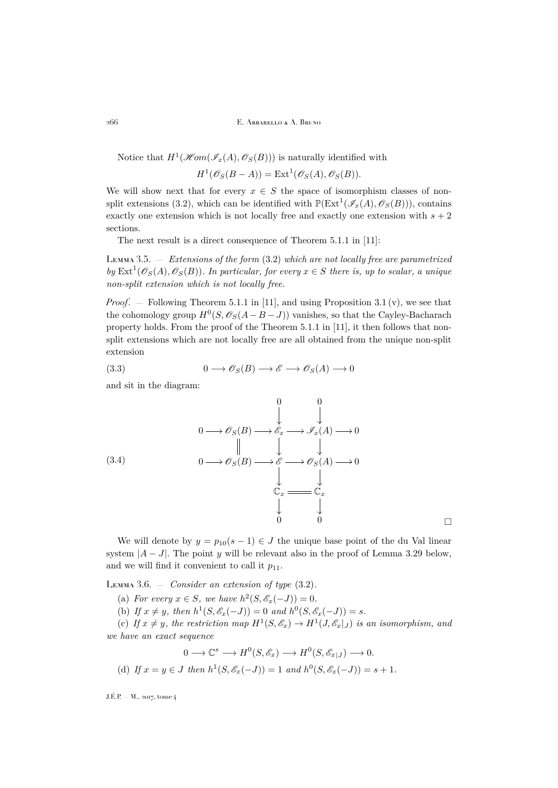Notice that  $H^1(\mathscr{H}om(\mathscr{I}_x(A),\mathscr{O}_S(B)))$  is naturally identified with

$$
H^1(\mathscr{O}_S(B-A)) = \text{Ext}^1(\mathscr{O}_S(A), \mathscr{O}_S(B)).
$$

We will show next that for every  $x \in S$  the space of isomorphism classes of non-split extensions [\(3.2\)](#page-9-0), which can be identified with  $\mathbb{P}(\text{Ext}^{1}(\mathscr{I}_{x}(A), \mathscr{O}_{S}(B)))$ , contains exactly one extension which is not locally free and exactly one extension with  $s + 2$ sections.

The next result is a direct consequence of Theorem 5.1.1 in [\[11\]](#page-29-9):

<span id="page-10-0"></span>Lemma 3.5. — *Extensions of the form* [\(3.2\)](#page-9-0) *which are not locally free are parametrized*  $by \text{ Ext}^1(\mathscr{O}_S(A), \mathscr{O}_S(B))$ *. In particular, for every*  $x \in S$  *there is, up to scalar, a unique non-split extension which is not locally free.*

*Proof.* – Following Theorem 5.1.1 in [\[11\]](#page-29-9), and using Proposition [3.1](#page-6-1) (v), we see that the cohomology group  $H^0(S, \mathscr{O}_S(A - B - J))$  vanishes, so that the Cayley-Bacharach property holds. From the proof of the Theorem 5.1.1 in [\[11\]](#page-29-9), it then follows that nonsplit extensions which are not locally free are all obtained from the unique non-split extension

<span id="page-10-1"></span>
$$
(3.3) \t 0 \longrightarrow \mathcal{O}_S(B) \longrightarrow \mathcal{E} \longrightarrow \mathcal{O}_S(A) \longrightarrow 0
$$

and sit in the diagram:

<span id="page-10-2"></span>(3.4)  
\n
$$
0 \longrightarrow \mathscr{O}_S(B) \longrightarrow \mathscr{E}_x \longrightarrow \mathscr{F}_x(A) \longrightarrow 0
$$
\n
$$
\downarrow \qquad \qquad \downarrow
$$
\n
$$
0 \longrightarrow \mathscr{O}_S(B) \longrightarrow \mathscr{E} \longrightarrow \mathscr{O}_S(A) \longrightarrow 0
$$
\n
$$
\downarrow \qquad \qquad \downarrow
$$
\n
$$
\mathbb{C}_x \longrightarrow \mathbb{C}_x
$$
\n
$$
\downarrow \qquad \qquad \downarrow
$$
\n
$$
0 \qquad 0 \qquad \qquad \square
$$

We will denote by  $y = p_{10}(s-1) \in J$  the unique base point of the du Val linear system  $|A-J|$ . The point y will be relevant also in the proof of Lemma [3.29](#page-24-0) below, and we will find it convenient to call it  $p_{11}$ .

<span id="page-10-3"></span>Lemma 3.6. — *Consider an extension of type* [\(3.2\)](#page-9-0)*.*

- (a) *For every*  $x \in S$ *, we have*  $h^2(S, \mathscr{E}_x(-J)) = 0$ *.*
- (b) If  $x \neq y$ , then  $h^1(S, \mathscr{E}_x(-J)) = 0$  and  $h^0(S, \mathscr{E}_x(-J)) = s$ .

(c) If  $x \neq y$ , the restriction map  $H^1(S, \mathscr{E}_x) \to H^1(J, \mathscr{E}_x|_J)$  is an isomorphism, and *we have an exact sequence*

$$
0 \longrightarrow \mathbb{C}^s \longrightarrow H^0(S, \mathscr{E}_x) \longrightarrow H^0(S, \mathscr{E}_{x|J}) \longrightarrow 0.
$$
  
(d) If  $x = y \in J$  then  $h^1(S, \mathscr{E}_x(-J)) = 1$  and  $h^0(S, \mathscr{E}_x(-J)) = s + 1$ .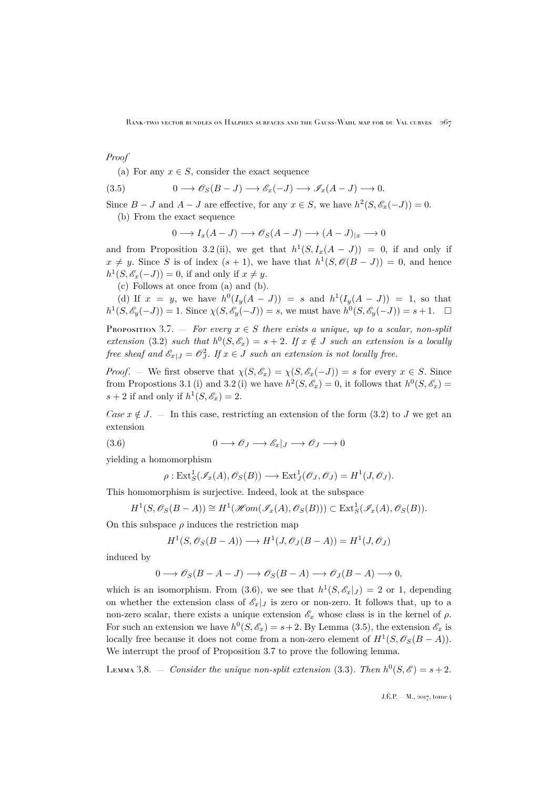*Proof*

(a) For any  $x \in S$ , consider the exact sequence

(3.5) 
$$
0 \longrightarrow \mathscr{O}_S(B-J) \longrightarrow \mathscr{E}_x(-J) \longrightarrow \mathscr{I}_x(A-J) \longrightarrow 0.
$$

Since  $B - J$  and  $A - J$  are effective, for any  $x \in S$ , we have  $h^2(S, \mathscr{E}_x(-J)) = 0$ .

(b) From the exact sequence

$$
0 \longrightarrow I_x(A-J) \longrightarrow \mathscr{O}_S(A-J) \longrightarrow (A-J)_{|x} \longrightarrow 0
$$

and from Proposition [3.2](#page-7-1)(ii), we get that  $h^1(S, I_x(A-J)) = 0$ , if and only if  $x \neq y$ . Since S is of index  $(s + 1)$ , we have that  $h^1(S, \mathcal{O}(B - J)) = 0$ , and hence  $h^1(S, \mathscr{E}_x(-J)) = 0$ , if and only if  $x \neq y$ .

(c) Follows at once from (a) and (b).

(d) If  $x = y$ , we have  $h^0(I_y(A-J)) = s$  and  $h^1(I_y(A-J)) = 1$ , so that  $h^1(S, \mathscr{E}_y(-J)) = 1$ . Since  $\chi(S, \mathscr{E}_y(-J)) = s$ , we must have  $h^0(S, \mathscr{E}_y(-J)) = s + 1$ .  $\Box$ 

<span id="page-11-1"></span>PROPOSITION 3.7. — *For every*  $x \in S$  *there exists a unique, up to a scalar, non-split extension* [\(3.2\)](#page-9-0) *such that*  $h^0(S, \mathscr{E}_x) = s + 2$ *. If*  $x \notin J$  *such an extension is a locally free sheaf and*  $\mathscr{E}_{x|J} = \mathscr{O}_J^2$ . If  $x \in J$  *such an extension is not locally free.* 

*Proof.* — We first observe that  $\chi(S, \mathscr{E}_x) = \chi(S, \mathscr{E}_x(-J)) = s$  for every  $x \in S$ . Since from Propostions [3.1](#page-6-1) (i) and [3.2](#page-7-1) (i) we have  $h^2(S, \mathscr{E}_x) = 0$ , it follows that  $h^0(S, \mathscr{E}_x) =$  $s + 2$  if and only if  $h^1(S, \mathscr{E}_x) = 2$ .

*Case*  $x \notin J$ . — In this case, restricting an extension of the form [\(3.2\)](#page-9-0) to J we get an extension

(3.6) 
$$
0 \longrightarrow \mathscr{O}_J \longrightarrow \mathscr{E}_x|_J \longrightarrow \mathscr{O}_J \longrightarrow 0
$$

yielding a homomorphism

<span id="page-11-0"></span>
$$
\rho: \text{Ext}^1_S(\mathscr{I}_x(A), \mathscr{O}_S(B)) \longrightarrow \text{Ext}^1_J(\mathscr{O}_J, \mathscr{O}_J) = H^1(J, \mathscr{O}_J).
$$

This homomorphism is surjective. Indeed, look at the subspace

$$
H^1(S, \mathscr{O}_S(B-A)) \cong H^1(\mathscr{H}\!\mathit{om}(\mathscr{I}_x(A), \mathscr{O}_S(B))) \subset \text{Ext}^1_S(\mathscr{I}_x(A), \mathscr{O}_S(B)).
$$

On this subspace  $\rho$  induces the restriction map

$$
H^1(S, \mathscr{O}_S(B-A)) \longrightarrow H^1(J, \mathscr{O}_J(B-A)) = H^1(J, \mathscr{O}_J)
$$

induced by

$$
0 \longrightarrow \mathscr{O}_S(B-A-J) \longrightarrow \mathscr{O}_S(B-A) \longrightarrow \mathscr{O}_J(B-A) \longrightarrow 0,
$$

which is an isomorphism. From [\(3.6\)](#page-11-0), we see that  $h^1(S, \mathscr{E}_x|_J) = 2$  or 1, depending on whether the extension class of  $\mathscr{E}_x|_J$  is zero or non-zero. It follows that, up to a non-zero scalar, there exists a unique extension  $\mathscr{E}_x$  whose class is in the kernel of  $\rho$ . For such an extension we have  $h^0(S, \mathscr{E}_x) = s + 2$ . By Lemma [\(3.5\)](#page-10-0), the extension  $\mathscr{E}_x$  is locally free because it does not come from a non-zero element of  $H^1(S, \mathscr{O}_S(B-A)).$ We interrupt the proof of Proposition [3.7](#page-11-1) to prove the following lemma.

<span id="page-11-2"></span>LEMMA 3.8. – *Consider the unique non-split extension* [\(3.3\)](#page-10-1). Then  $h^0(S, \mathscr{E}) = s + 2$ .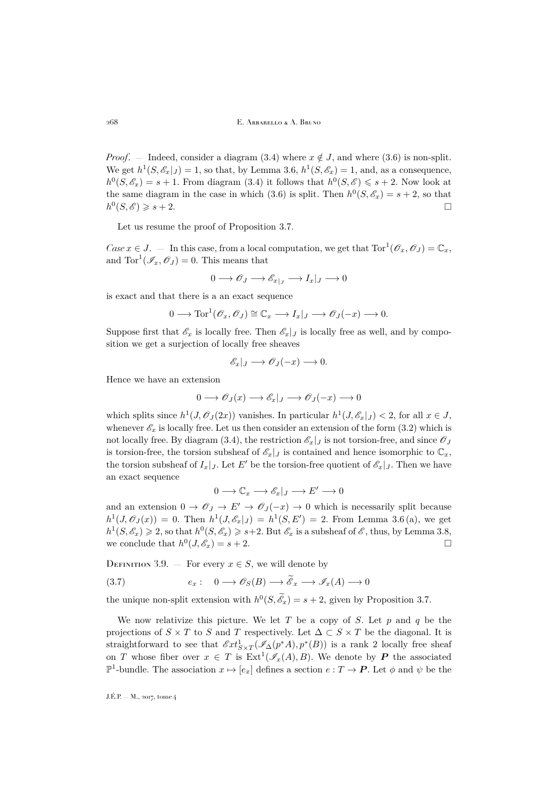*Proof.* — Indeed, consider a diagram [\(3.4\)](#page-10-2) where  $x \notin J$ , and where [\(3.6\)](#page-11-0) is non-split. We get  $h^1(S, \mathscr{E}_x|_J) = 1$ , so that, by Lemma [3.6,](#page-10-3)  $h^1(S, \mathscr{E}_x) = 1$ , and, as a consequence,  $h^0(S, \mathscr{E}_x) = s + 1$ . From diagram [\(3.4\)](#page-10-2) it follows that  $h^0(S, \mathscr{E}) \leq s + 2$ . Now look at the same diagram in the case in which [\(3.6\)](#page-11-0) is split. Then  $h^0(S, \mathscr{E}_x) = s + 2$ , so that  $h^0(S, \mathscr{E}) \geqslant s + 2.$ 

Let us resume the proof of Proposition [3.7.](#page-11-1)

*Case*  $x \in J$ . — In this case, from a local computation, we get that  $Tor^1(\mathscr{O}_x, \mathscr{O}_J) = \mathbb{C}_x$ , and  $\text{Tor}^1(\mathscr{I}_x, \mathscr{O}_J) = 0$ . This means that

$$
0 \longrightarrow \mathscr{O}_J \longrightarrow \mathscr{E}_{x|_J} \longrightarrow I_x|_J \longrightarrow 0
$$

is exact and that there is a an exact sequence

$$
0 \longrightarrow \text{Tor}^1(\mathscr{O}_x, \mathscr{O}_J) \cong \mathbb{C}_x \longrightarrow I_x|_J \longrightarrow \mathscr{O}_J(-x) \longrightarrow 0.
$$

Suppose first that  $\mathscr{E}_x$  is locally free. Then  $\mathscr{E}_x|_J$  is locally free as well, and by composition we get a surjection of locally free sheaves

$$
\mathscr{E}_x|_J \longrightarrow \mathscr{O}_J(-x) \longrightarrow 0.
$$

Hence we have an extension

$$
0 \longrightarrow \mathscr{O}_J(x) \longrightarrow \mathscr{E}_x|_J \longrightarrow \mathscr{O}_J(-x) \longrightarrow 0
$$

which splits since  $h^1(J, \mathscr{O}_J(2x))$  vanishes. In particular  $h^1(J, \mathscr{E}_x|_J) < 2$ , for all  $x \in J$ , whenever  $\mathscr{E}_x$  is locally free. Let us then consider an extension of the form [\(3.2\)](#page-9-0) which is not locally free. By diagram [\(3.4\)](#page-10-2), the restriction  $\mathscr{E}_x|_J$  is not torsion-free, and since  $\mathscr{O}_J$ is torsion-free, the torsion subsheaf of  $\mathscr{E}_x|_J$  is contained and hence isomorphic to  $\mathbb{C}_x$ , the torsion subsheaf of  $I_x|_J$ . Let E' be the torsion-free quotient of  $\mathscr{E}_x|_J$ . Then we have an exact sequence

$$
0\longrightarrow \mathbb{C}_x\longrightarrow \mathscr{E}_x|_J\longrightarrow E'\longrightarrow 0
$$

and an extension  $0 \to \mathscr{O}_J \to E' \to \mathscr{O}_J(-x) \to 0$  which is necessarily split because  $h^1(J,\mathscr{O}_J(x)) = 0$ . Then  $h^1(J,\mathscr{E}_x|_J) = h^1(S, E') = 2$ . From Lemma [3.6](#page-10-3) (a), we get  $h^1(S, \mathscr{E}_x) \geq 2$ , so that  $h^0(S, \mathscr{E}_x) \geq s+2$ . But  $\mathscr{E}_x$  is a subsheaf of  $\mathscr{E}$ , thus, by Lemma [3.8,](#page-11-2) we conclude that  $h^0(J,\mathscr{E}_x)=s+2$ .

<span id="page-12-0"></span>DEFINITION 3.9. — For every  $x \in S$ , we will denote by

(3.7) 
$$
e_x: \quad 0 \longrightarrow \mathscr{O}_S(B) \longrightarrow \widetilde{\mathscr{E}}_x \longrightarrow \mathscr{I}_x(A) \longrightarrow 0
$$

the unique non-split extension with  $h^0(S, \mathscr{E}_x) = s + 2$ , given by Proposition [3.7.](#page-11-1)

We now relativize this picture. We let T be a copy of S. Let p and q be the projections of  $S \times T$  to S and T respectively. Let  $\Delta \subset S \times T$  be the diagonal. It is straightforward to see that  $\mathscr{E}xt^1_{S\times T}(\mathscr{I}_{\Delta}(p^*A), p^*(B))$  is a rank 2 locally free sheaf on T whose fiber over  $x \in T$  is  $Ext^1(\mathscr{I}_x(A), B)$ . We denote by P the associated  $\mathbb{P}^1$ -bundle. The association  $x \mapsto [e_x]$  defines a section  $e : T \to \mathbf{P}$ . Let  $\phi$  and  $\psi$  be the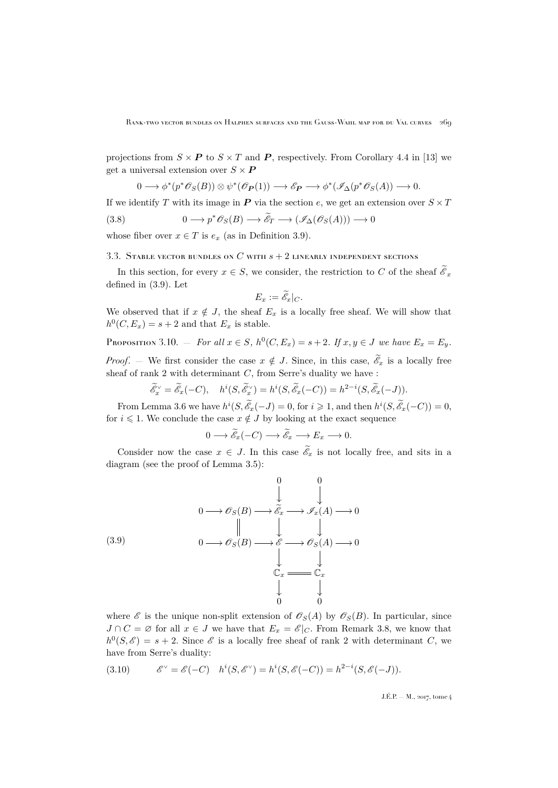projections from  $S \times P$  to  $S \times T$  and P, respectively. From Corollary 4.4 in [\[13\]](#page-29-10) we get a universal extension over  $S \times P$ 

<span id="page-13-1"></span>
$$
0 \longrightarrow \phi^*(p^*\mathscr{O}_S(B)) \otimes \psi^*(\mathscr{O}_{\mathbf{P}}(1)) \longrightarrow \mathscr{E}_{\mathbf{P}} \longrightarrow \phi^*(\mathscr{I}_{\Delta}(p^*\mathscr{O}_S(A)) \longrightarrow 0.
$$

If we identify T with its image in  $P$  via the section e, we get an extension over  $S \times T$ 

(3.8) 
$$
0 \longrightarrow p^* \mathscr{O}_S(B) \longrightarrow \widetilde{\mathscr{E}}_T \longrightarrow (\mathscr{I}_{\Delta}(\mathscr{O}_S(A))) \longrightarrow 0
$$

whose fiber over  $x \in T$  is  $e_x$  (as in Definition [3.9\)](#page-12-0).

#### 3.3. STABLE VECTOR BUNDLES ON  $C$  with  $s + 2$  linearly independent sections

In this section, for every  $x \in S$ , we consider, the restriction to C of the sheaf  $\mathscr{E}_x$ defined in [\(3.9\)](#page-12-0). Let

$$
E_x := \widetilde{\mathscr{E}}_x|_C.
$$

We observed that if  $x \notin J$ , the sheaf  $E_x$  is a locally free sheaf. We will show that  $h^0(C, E_x) = s + 2$  and that  $E_x$  is stable.

<span id="page-13-0"></span>PROPOSITION 3.10. 
$$
-
$$
 For all  $x \in S$ ,  $h^0(C, E_x) = s + 2$ . If  $x, y \in J$  we have  $E_x = E_y$ .

*Proof.* — We first consider the case  $x \notin J$ . Since, in this case,  $\mathscr{E}_x$  is a locally free sheaf of rank  $2$  with determinant  $C$ , from Serre's duality we have :

$$
\widetilde{\mathscr{E}}_x^\vee=\widetilde{\mathscr{E}}_x(-C),\quad h^i(S,\widetilde{\mathscr{E}}_x^\vee)=h^i(S,\widetilde{\mathscr{E}}_x(-C))=h^{2-i}(S,\widetilde{\mathscr{E}}_x(-J)).
$$

From Lemma [3.6](#page-10-3) we have  $h^{i}(S, \tilde{\mathscr{E}}_x(-J) = 0$ , for  $i \geq 1$ , and then  $h^{i}(S, \tilde{\mathscr{E}}_x(-C)) = 0$ , for  $i \leq 1$ . We conclude the case  $x \notin J$  by looking at the exact sequence

<span id="page-13-2"></span>
$$
0 \longrightarrow \widetilde{\mathscr{E}}_x(-C) \longrightarrow \widetilde{\mathscr{E}}_x \longrightarrow E_x \longrightarrow 0.
$$

Consider now the case  $x \in J$ . In this case  $\mathscr{E}_x$  is not locally free, and sits in a diagram (see the proof of Lemma [3.5\)](#page-10-0):



where  $\mathscr E$  is the unique non-split extension of  $\mathscr O_S(A)$  by  $\mathscr O_S(B)$ . In particular, since  $J \cap C = \emptyset$  for all  $x \in J$  we have that  $E_x = \mathscr{E}|_C$ . From Remark [3.8,](#page-11-2) we know that  $h^0(S,\mathscr{E}) = s + 2$ . Since  $\mathscr{E}$  is a locally free sheaf of rank 2 with determinant C, we have from Serre's duality:

$$
(3.10) \qquad \mathscr{E}^{\vee} = \mathscr{E}(-C) \quad h^{i}(S, \mathscr{E}^{\vee}) = h^{i}(S, \mathscr{E}(-C)) = h^{2-i}(S, \mathscr{E}(-J)).
$$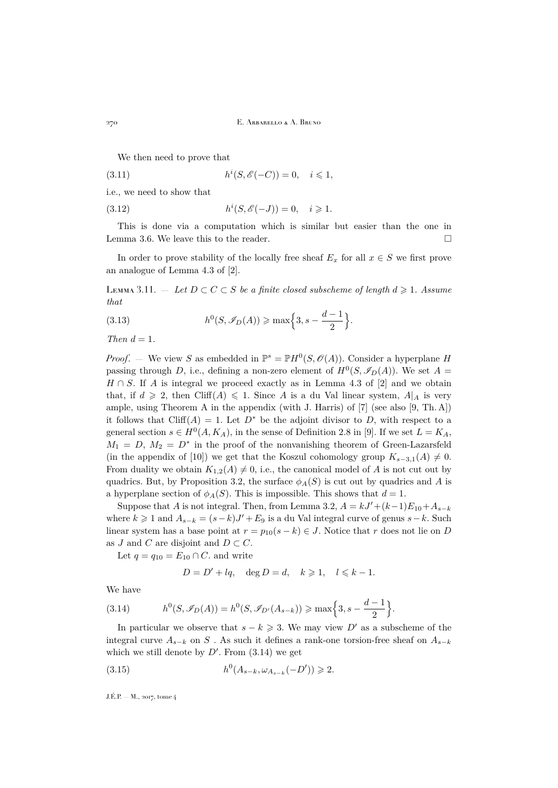<span id="page-14-3"></span>We then need to prove that

(3.11) 
$$
h^{i}(S, \mathscr{E}(-C)) = 0, \quad i \leq 1,
$$

i.e., we need to show that

(3.12) 
$$
h^{i}(S, \mathscr{E}(-J)) = 0, \quad i \geq 1.
$$

This is done via a computation which is similar but easier than the one in Lemma [3.6.](#page-10-3) We leave this to the reader.  $\Box$ 

In order to prove stability of the locally free sheaf  $E_x$  for all  $x \in S$  we first prove an analogue of Lemma 4.3 of [\[2\]](#page-29-5).

<span id="page-14-2"></span>LEMMA 3.11. – Let  $D ⊂ C ⊂ S$  *be a finite closed subscheme of length*  $d ≥ 1$ *. Assume that*

(3.13) 
$$
h^{0}(S, \mathscr{I}_{D}(A)) \ge \max\Big\{3, s - \frac{d-1}{2}\Big\}.
$$

*Then*  $d = 1$ *.* 

*Proof.* – We view S as embedded in  $\mathbb{P}^s = \mathbb{P}H^0(S, \mathcal{O}(A))$ . Consider a hyperplane H passing through D, i.e., defining a non-zero element of  $H^0(S, \mathscr{I}_D(A))$ . We set  $A =$  $H \cap S$ . If A is integral we proceed exactly as in Lemma 4.3 of [\[2\]](#page-29-5) and we obtain that, if  $d \geq 2$ , then Cliff(A)  $\leq 1$ . Since A is a du Val linear system,  $A|_A$  is very ample, using Theorem A in the appendix (with J. Harris) of [\[7\]](#page-29-11) (see also [\[9,](#page-29-12) Th. A]) it follows that Cliff(A) = 1. Let  $D^*$  be the adjoint divisor to D, with respect to a general section  $s \in H^0(A, K_A)$ , in the sense of Definition 2.8 in [\[9\]](#page-29-12). If we set  $L = K_A$ ,  $M_1 = D$ ,  $M_2 = D^*$  in the proof of the nonvanishing theorem of Green-Lazarsfeld (in the appendix of [\[10\]](#page-29-13)) we get that the Koszul cohomology group  $K_{s-3,1}(A) \neq 0$ . From duality we obtain  $K_{1,2}(A) \neq 0$ , i.e., the canonical model of A is not cut out by quadrics. But, by Proposition [3.2,](#page-7-1) the surface  $\phi_A(S)$  is cut out by quadrics and A is a hyperplane section of  $\phi_A(S)$ . This is impossible. This shows that  $d=1$ .

Suppose that A is not integral. Then, from Lemma [3.2,](#page-7-1)  $A = kJ' + (k-1)E_{10} + A_{s-k}$ where  $k \geq 1$  and  $A_{s-k} = (s-k)J' + E_9$  is a du Val integral curve of genus  $s-k$ . Such linear system has a base point at  $r = p_{10}(s - k) \in J$ . Notice that r does not lie on D as J and C are disjoint and  $D \subset C$ .

Let  $q = q_{10} = E_{10} \cap C$ . and write

<span id="page-14-1"></span><span id="page-14-0"></span>
$$
D = D' + lq, \quad \deg D = d, \quad k \geq 1, \quad l \leq k - 1.
$$

We have

(3.14) 
$$
h^{0}(S, \mathscr{I}_{D}(A)) = h^{0}(S, \mathscr{I}_{D'}(A_{s-k})) \ge \max\Big\{3, s - \frac{d-1}{2}\Big\}.
$$

In particular we observe that  $s - k \geq 3$ . We may view D' as a subscheme of the integral curve  $A_{s-k}$  on S . As such it defines a rank-one torsion-free sheaf on  $A_{s-k}$ which we still denote by  $D'$ . From  $(3.14)$  we get

(3.15) 
$$
h^0(A_{s-k}, \omega_{A_{s-k}}(-D')) \geq 2.
$$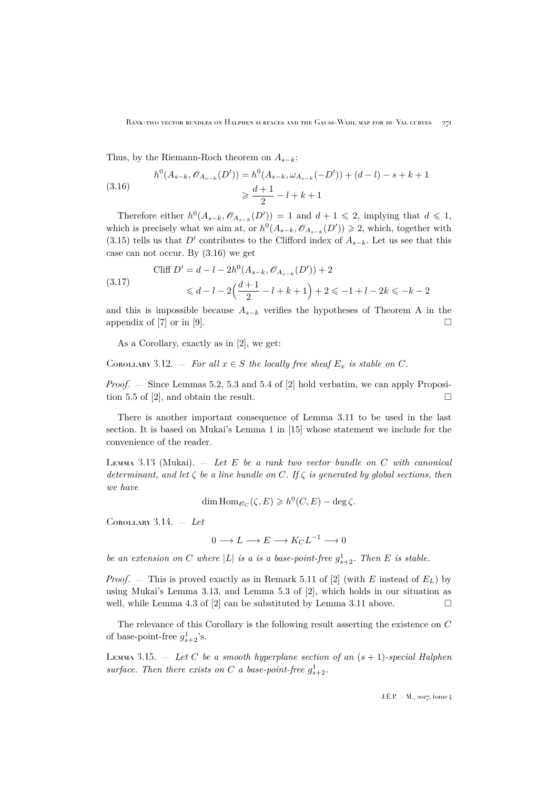Thus, by the Riemann-Roch theorem on  $A_{s-k}$ :

<span id="page-15-0"></span>(3.16) 
$$
h^{0}(A_{s-k}, \mathscr{O}_{A_{s-k}}(D')) = h^{0}(A_{s-k}, \omega_{A_{s-k}}(-D')) + (d-l) - s + k + 1
$$

$$
\geq \frac{d+1}{2} - l + k + 1
$$

Therefore either  $h^0(A_{s-k}, \mathcal{O}_{A_{s-k}}(D')) = 1$  and  $d+1 \leq 2$ , implying that  $d \leq 1$ , which is precisely what we aim at, or  $h^0(A_{s-k}, \mathcal{O}_{A_{s-k}}(D')) \geq 2$ , which, together with [\(3.15\)](#page-14-1) tells us that D' contributes to the Clifford index of  $A_{s-k}$ . Let us see that this case can not occur. By [\(3.16\)](#page-15-0) we get

$$
\text{(3.17)} \qquad \text{Cliff } D' = d - l - 2h^0(A_{s-k}, \mathcal{O}_{A_{s-k}}(D')) + 2
$$
\n
$$
\leq d - l - 2\left(\frac{d+1}{2} - l + k + 1\right) + 2 \leq -1 + l - 2k \leq -k - 2
$$

and this is impossible because  $A_{s-k}$  verifies the hypotheses of Theorem A in the appendix of [\[7\]](#page-29-11) or in [\[9\]](#page-29-12).

As a Corollary, exactly as in [\[2\]](#page-29-5), we get:

<span id="page-15-2"></span>COROLLARY 3.12. — For all  $x \in S$  the locally free sheaf  $E_x$  is stable on C.

*Proof*. — Since Lemmas 5.2, 5.3 and 5.4 of [\[2\]](#page-29-5) hold verbatim, we can apply Proposi-tion 5.5 of [\[2\]](#page-29-5), and obtain the result.  $\square$ 

There is another important consequence of Lemma [3.11](#page-14-2) to be used in the last section. It is based on Mukai's Lemma 1 in [\[15\]](#page-29-14) whose statement we include for the convenience of the reader.

<span id="page-15-1"></span>Lemma 3.13 (Mukai). — *Let* E *be a rank two vector bundle on* C *with canonical determinant, and let* ζ *be a line bundle on* C*. If* ζ *is generated by global sections, then we have*

$$
\dim\operatorname{Hom}\nolimits_{{\mathscr O}_C}(\zeta,E)\geqslant h^0(C,E)-\deg\zeta.
$$

<span id="page-15-3"></span>Corollary 3.14. — *Let*

$$
0 \longrightarrow L \longrightarrow E \longrightarrow K_C L^{-1} \longrightarrow 0
$$

*be an extension on* C where |L| *is a is a base-point-free*  $g_{s+2}^1$ . Then E *is stable.* 

*Proof.* – This is proved exactly as in Remark 5.11 of [\[2\]](#page-29-5) (with E instead of  $E_L$ ) by using Mukai's Lemma [3.13,](#page-15-1) and Lemma 5.3 of [\[2\]](#page-29-5), which holds in our situation as well, while Lemma 4.3 of [\[2\]](#page-29-5) can be substituted by Lemma [3.11](#page-14-2) above.  $\Box$ 

The relevance of this Corollary is the following result asserting the existence on C of base-point-free  $g_{s+2}^1$ 's.

<span id="page-15-4"></span>Lemma 3.15. — *Let* C *be a smooth hyperplane section of an* (s + 1)*-special Halphen* surface. Then there exists on C *a* base-point-free  $g_{s+2}^1$ .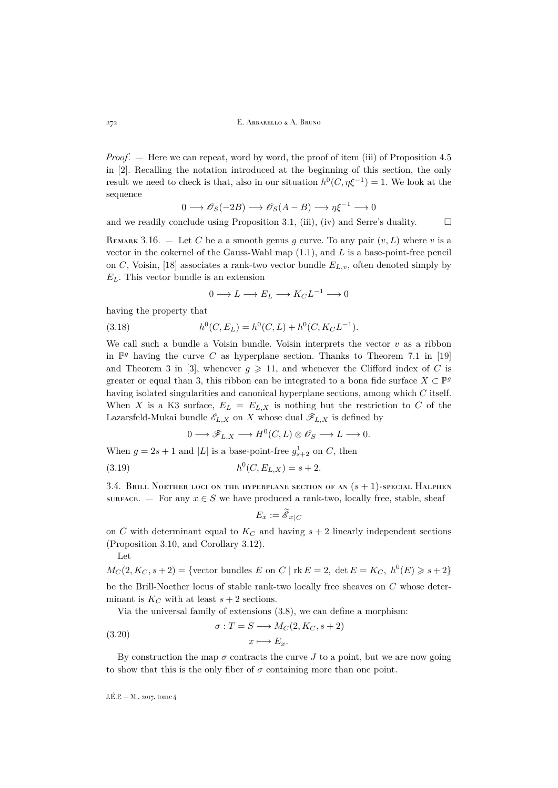*Proof.* — Here we can repeat, word by word, the proof of item (iii) of Proposition 4.5 in [\[2\]](#page-29-5). Recalling the notation introduced at the beginning of this section, the only result we need to check is that, also in our situation  $h^0(C, \eta \xi^{-1}) = 1$ . We look at the sequence

$$
0 \longrightarrow \mathscr{O}_S(-2B) \longrightarrow \mathscr{O}_S(A-B) \longrightarrow \eta \xi^{-1} \longrightarrow 0
$$

and we readily conclude using Proposition [3.1,](#page-6-1) (iii), (iv) and Serre's duality.  $\square$ 

<span id="page-16-0"></span>REMARK 3.16. — Let C be a a smooth genus g curve. To any pair  $(v, L)$  where v is a vector in the cokernel of the Gauss-Wahl map  $(1.1)$ , and L is a base-point-free pencil on C, Voisin, [\[18\]](#page-29-15) associates a rank-two vector bundle  $E_{L,v}$ , often denoted simply by  $E<sub>L</sub>$ . This vector bundle is an extension

$$
0 \longrightarrow L \longrightarrow E_L \longrightarrow K_C L^{-1} \longrightarrow 0
$$

having the property that

(3.18) 
$$
h^0(C, E_L) = h^0(C, L) + h^0(C, K_C L^{-1}).
$$

We call such a bundle a Voisin bundle. Voisin interprets the vector  $v$  as a ribbon in  $\mathbb{P}^g$  having the curve C as hyperplane section. Thanks to Theorem 7.1 in [\[19\]](#page-29-3) and Theorem 3 in [\[3\]](#page-29-1), whenever  $q \geq 11$ , and whenever the Clifford index of C is greater or equal than 3, this ribbon can be integrated to a bona fide surface  $X \subset \mathbb{P}^g$ having isolated singularities and canonical hyperplane sections, among which C itself. When X is a K3 surface,  $E_L = E_{L,X}$  is nothing but the restriction to C of the Lazarsfeld-Mukai bundle  $\mathscr{E}_{L,X}$  on X whose dual  $\mathscr{F}_{L,X}$  is defined by

$$
0 \longrightarrow \mathscr{F}_{L,X} \longrightarrow H^0(C, L) \otimes \mathscr{O}_S \longrightarrow L \longrightarrow 0.
$$

When  $g = 2s + 1$  and |L| is a base-point-free  $g_{s+2}^1$  on C, then

(3.19) 
$$
h^0(C, E_{L,X}) = s + 2.
$$

3.4. BRILL NOETHER LOCI ON THE HYPERPLANE SECTION OF AN  $(s + 1)$ -SPECIAL HALPHEN surface. — For any  $x \in S$  we have produced a rank-two, locally free, stable, sheaf

$$
E_x := \widetilde{\mathscr{E}}_{x|C}
$$

on C with determinant equal to  $K_C$  and having  $s + 2$  linearly independent sections (Proposition [3.10,](#page-13-0) and Corollary [3.12\)](#page-15-2).

Let

$$
M_C(2, K_C, s+2) = \{ \text{vector bundles } E \text{ on } C \mid \text{rk } E = 2, \text{ det } E = K_C, h^0(E) \geq s+2 \}
$$

be the Brill-Noether locus of stable rank-two locally free sheaves on C whose determinant is  $K_C$  with at least  $s + 2$  sections.

Via the universal family of extensions [\(3.8\)](#page-13-1), we can define a morphism:

(3.20) 
$$
\sigma: T = S \longrightarrow M_C(2, K_C, s+2)
$$

$$
x \longmapsto E_x.
$$

By construction the map  $\sigma$  contracts the curve J to a point, but we are now going to show that this is the only fiber of  $\sigma$  containing more than one point.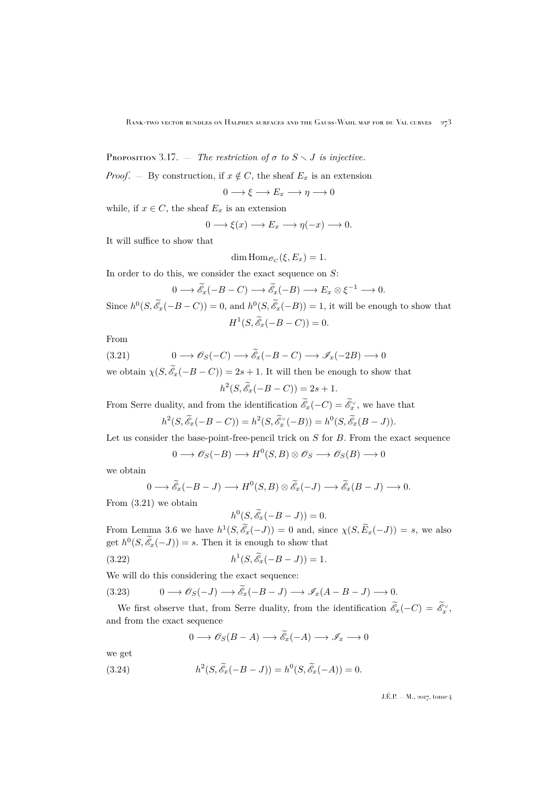PROPOSITION 3.17. — *The restriction of*  $\sigma$  *to*  $S \setminus J$  *is injective.* 

*Proof.* — By construction, if  $x \notin C$ , the sheaf  $E_x$  is an extension

$$
0 \longrightarrow \xi \longrightarrow E_x \longrightarrow \eta \longrightarrow 0
$$

while, if  $x \in C$ , the sheaf  $E_x$  is an extension

$$
0 \longrightarrow \xi(x) \longrightarrow E_x \longrightarrow \eta(-x) \longrightarrow 0.
$$

It will suffice to show that

$$
\dim \text{Hom}_{\mathscr{O}_C}(\xi, E_x) = 1.
$$

In order to do this, we consider the exact sequence on  $S$ :

<span id="page-17-0"></span>
$$
0 \longrightarrow \widetilde{\mathscr{E}}_x(-B-C) \longrightarrow \widetilde{\mathscr{E}}_x(-B) \longrightarrow E_x \otimes \xi^{-1} \longrightarrow 0.
$$

Since  $h^0(S, \mathscr{E}_x(-B-C)) = 0$ , and  $h^0(S, \mathscr{E}_x(-B)) = 1$ , it will be enough to show that  $H^1(S, \widetilde{\mathscr{E}}_x(-B-C))=0.$ 

From

$$
(3.21) \t 0 \longrightarrow \mathscr{O}_S(-C) \longrightarrow \mathscr{E}_x(-B-C) \longrightarrow \mathscr{I}_x(-2B) \longrightarrow 0
$$

we obtain  $\chi(S, \mathscr{E}_x(-B-C)) = 2s + 1$ . It will then be enough to show that

 $h^2(S, \widetilde{\mathscr{E}}_x(-B-C)) = 2s + 1.$ 

From Serre duality, and from the identification  $\mathscr{E}_x(-C) = \mathscr{E}_x^{\vee}$ , we have that

$$
h^2(S, \widetilde{\mathcal{E}}_x(-B-C)) = h^2(S, \widetilde{\mathcal{E}}_x^{\vee}(-B)) = h^0(S, \widetilde{\mathcal{E}}_x(B-J)).
$$

Let us consider the base-point-free-pencil trick on  $S$  for  $B$ . From the exact sequence

$$
0 \longrightarrow \mathscr{O}_S(-B) \longrightarrow H^0(S, B) \otimes \mathscr{O}_S \longrightarrow \mathscr{O}_S(B) \longrightarrow 0
$$

we obtain

$$
0 \longrightarrow \widetilde{\mathscr{E}}_x(-B-J) \longrightarrow H^0(S,B) \otimes \widetilde{\mathscr{E}}_x(-J) \longrightarrow \widetilde{\mathscr{E}}_x(B-J) \longrightarrow 0.
$$

From [\(3.21\)](#page-17-0) we obtain

$$
h^0(S, \widetilde{\mathcal{E}}_x(-B-J)) = 0.
$$

From Lemma [3.6](#page-10-3) we have  $h^1(S, \tilde{\mathscr{E}}_x(-J)) = 0$  and, since  $\chi(S, \tilde{E}_x(-J)) = s$ , we also get  $h^0(S, \mathscr{E}_x(-J)) = s$ . Then it is enough to show that

(3.22) 
$$
h^1(S, \tilde{\mathscr{E}}_x(-B-J)) = 1.
$$

We will do this considering the exact sequence:

<span id="page-17-1"></span>(3.23) 
$$
0 \longrightarrow \mathscr{O}_S(-J) \longrightarrow \widetilde{\mathscr{E}}_x(-B-J) \longrightarrow \mathscr{I}_x(A-B-J) \longrightarrow 0.
$$

We first observe that, from Serre duality, from the identification  $\mathscr{E}_x(-C) = \mathscr{E}_x^{\vee}$ , and from the exact sequence

<span id="page-17-2"></span>
$$
0 \longrightarrow \mathscr{O}_S(B-A) \longrightarrow \widetilde{\mathscr{E}}_x(-A) \longrightarrow \mathscr{I}_x \longrightarrow 0
$$

we get

(3.24) 
$$
h^{2}(S, \tilde{\mathscr{E}}_{x}(-B-J)) = h^{0}(S, \tilde{\mathscr{E}}_{x}(-A)) = 0.
$$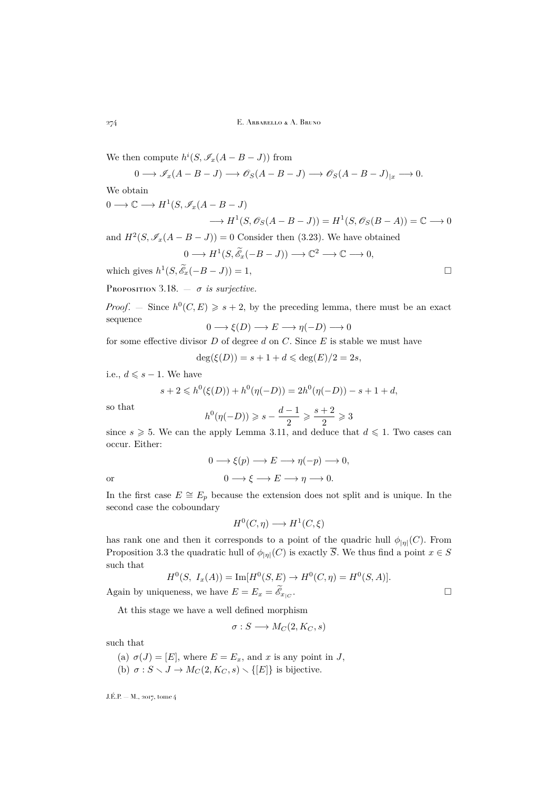We then compute  $h^{i}(S, \mathscr{I}_{x}(A - B - J))$  from

$$
0 \longrightarrow \mathscr{I}_x(A - B - J) \longrightarrow \mathscr{O}_S(A - B - J) \longrightarrow \mathscr{O}_S(A - B - J)_{|x} \longrightarrow 0.
$$

We obtain

$$
0 \longrightarrow \mathbb{C} \longrightarrow H^1(S, \mathscr{I}_x(A - B - J))
$$
  

$$
\longrightarrow H^1(S, \mathscr{O}_S(A - B - J)) = H^1(S, \mathscr{O}_S(B - A)) = \mathbb{C} \longrightarrow 0
$$

and  $H^2(S, \mathscr{I}_{x}(A - B - J)) = 0$  Consider then [\(3.23\)](#page-17-1). We have obtained

$$
0 \longrightarrow H^1(S, \widetilde{\mathscr{E}}_x(-B-J)) \longrightarrow \mathbb{C}^2 \longrightarrow \mathbb{C} \longrightarrow 0,
$$

which gives  $h^1(S, \widetilde{\mathcal{E}}_x(-B-J)) = 1$ ,

<span id="page-18-0"></span>PROPOSITION 3.18.  $-\sigma$  *is surjective.* 

*Proof.* – Since  $h^0(C, E) \geq s + 2$ , by the preceding lemma, there must be an exact sequence

$$
0 \longrightarrow \xi(D) \longrightarrow E \longrightarrow \eta(-D) \longrightarrow 0
$$

for some effective divisor  $D$  of degree  $d$  on  $C$ . Since  $E$  is stable we must have

$$
\deg(\xi(D)) = s + 1 + d \leqslant \deg(E)/2 = 2s,
$$

i.e.,  $d \leqslant s - 1$ . We have

$$
s + 2 \leq h^{0}(\xi(D)) + h^{0}(\eta(-D)) = 2h^{0}(\eta(-D)) - s + 1 + d,
$$

so that

$$
h^0(\eta(-D))\geqslant s-\frac{d-1}{2}\geqslant \frac{s+2}{2}\geqslant 3
$$

since  $s \geq 5$ . We can the apply Lemma [3.11,](#page-14-2) and deduce that  $d \leq 1$ . Two cases can occur. Either:

or  
\n
$$
0 \longrightarrow \xi(p) \longrightarrow E \longrightarrow \eta(-p) \longrightarrow 0,
$$
\nor  
\n
$$
0 \longrightarrow \xi \longrightarrow E \longrightarrow \eta \longrightarrow 0.
$$

In the first case  $E \cong E_p$  because the extension does not split and is unique. In the second case the coboundary

$$
H^0(C, \eta) \longrightarrow H^1(C, \xi)
$$

has rank one and then it corresponds to a point of the quadric hull  $\phi_{|n|}(C)$ . From Proposition [3.3](#page-8-0) the quadratic hull of  $\phi_{|\eta|}(C)$  is exactly  $\overline{S}$ . We thus find a point  $x \in S$ such that

$$
H^{0}(S, I_{x}(A)) = \text{Im}[H^{0}(S, E) \to H^{0}(C, \eta) = H^{0}(S, A)].
$$
  
Again by uniqueness, we have  $E = E_{x} = \widetilde{\mathscr{E}}_{x|_{C}}$ .

At this stage we have a well defined morphism

$$
\sigma: S \longrightarrow M_C(2, K_C, s)
$$

such that

(a)  $\sigma(J) = [E]$ , where  $E = E_x$ , and x is any point in J,

(b)  $\sigma: S \setminus J \to M_C(2, K_C, s) \setminus \{[E]\}\$ is bijective.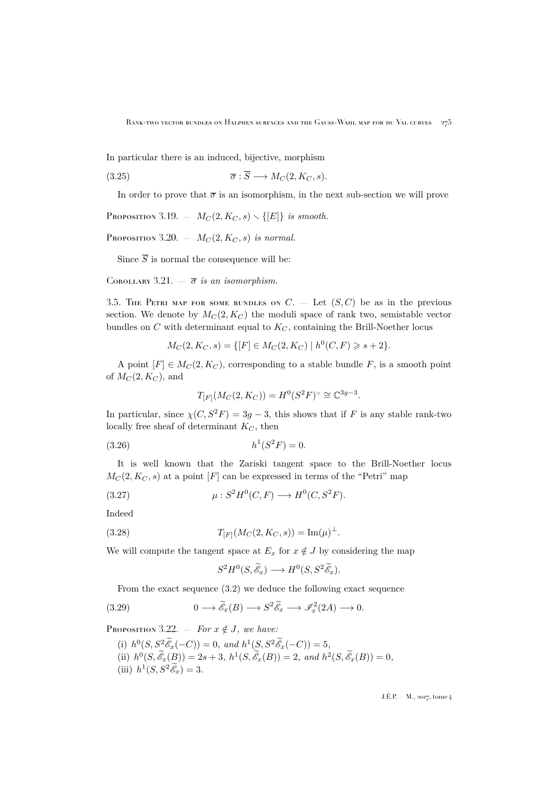In particular there is an induced, bijective, morphism

(3.25) 
$$
\overline{\sigma} : \overline{S} \longrightarrow M_C(2, K_C, s).
$$

In order to prove that  $\bar{\sigma}$  is an isomorphism, in the next sub-section we will prove

<span id="page-19-4"></span>PROPOSITION 3.19.  $- M_C(2, K_C, s) \setminus \{[E]\}$  *is smooth.* 

<span id="page-19-5"></span>Proposition 3.20.  $- M_C(2, K_C, s)$  *is normal.* 

Since  $\overline{S}$  is normal the consequence will be:

<span id="page-19-6"></span>COROLLARY 3.21.  $-\overline{\sigma}$  *is an isomorphism.* 

<span id="page-19-0"></span>3.5. THE PETRI MAP FOR SOME BUNDLES ON  $C.$  — Let  $(S, C)$  be as in the previous section. We denote by  $M_C(2, K_C)$  the moduli space of rank two, semistable vector bundles on  $C$  with determinant equal to  $K_C$ , containing the Brill-Noether locus

$$
M_C(2, K_C, s) = \{ [F] \in M_C(2, K_C) \mid h^0(C, F) \geqslant s + 2 \}.
$$

A point  $[F] \in M_C(2, K_C)$ , corresponding to a stable bundle F, is a smooth point of  $M_C(2, K_C)$ , and

<span id="page-19-3"></span>
$$
T_{[F]}(M_C(2, K_C)) = H^0(S^2 F)^{\vee} \cong \mathbb{C}^{3g-3}.
$$

In particular, since  $\chi(C, S^2F) = 3g - 3$ , this shows that if F is any stable rank-two locally free sheaf of determinant  $K_C$ , then

$$
(3.26) \t\t\t h1(S2F) = 0.
$$

It is well known that the Zariski tangent space to the Brill-Noether locus  $M_C(2, K_C, s)$  at a point [F] can be expressed in terms of the "Petri" map

$$
(3.27) \qquad \mu: S^2 H^0(C, F) \longrightarrow H^0(C, S^2 F).
$$

Indeed

(3.28) 
$$
T_{[F]}(M_C(2, K_C, s)) = \text{Im}(\mu)^{\perp}.
$$

We will compute the tangent space at  $E_x$  for  $x \notin J$  by considering the map

<span id="page-19-1"></span>
$$
S^2H^0(S,\widetilde{\mathscr{E}}_x)\longrightarrow H^0(S,S^2\widetilde{\mathscr{E}}_x).
$$

From the exact sequence [\(3.2\)](#page-9-0) we deduce the following exact sequence

(3.29) 
$$
0 \longrightarrow \widetilde{\mathcal{E}}_x(B) \longrightarrow S^2 \widetilde{\mathcal{E}}_x \longrightarrow \mathcal{I}_x^2(2A) \longrightarrow 0.
$$

<span id="page-19-2"></span>PROPOSITION 3.22. — *For*  $x \notin J$ *, we have:* 

(i)  $h^0(S, S^2 \tilde{\mathscr{E}}_x(-C)) = 0$ , and  $h^1(S, S^2 \tilde{\mathscr{E}}_x(-C)) = 5$ , (ii)  $h^0(S, \mathscr{E}_x(B)) = 2s + 3$ ,  $h^1(S, \mathscr{E}_x(B)) = 2$ , and  $h^2(S, \mathscr{E}_x(B)) = 0$ , (iii)  $h^1(S, S^2 \tilde{\mathscr{E}}_x) = 3.$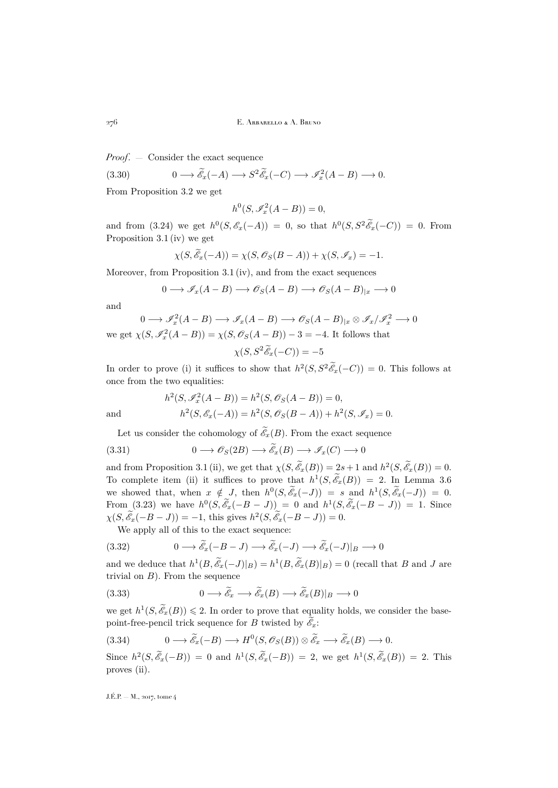*Proof*. — Consider the exact sequence

(3.30) 
$$
0 \longrightarrow \widetilde{\mathscr{E}}_x(-A) \longrightarrow S^2 \widetilde{\mathscr{E}}_x(-C) \longrightarrow \mathscr{I}_x^2(A-B) \longrightarrow 0.
$$

From Proposition [3.2](#page-7-1) we get

$$
h^0(S, \mathscr{I}_x^2(A - B)) = 0,
$$

and from  $(3.24)$  we get  $h^0(S, \mathscr{E}_x(-A)) = 0$ , so that  $h^0(S, S^2 \mathscr{E}_x(-C)) = 0$ . From Proposition [3.1](#page-6-1) (iv) we get

$$
\chi(S, \widetilde{\mathscr{E}}_x(-A)) = \chi(S, \mathscr{O}_S(B-A)) + \chi(S, \mathscr{I}_x) = -1.
$$

Moreover, from Proposition [3.1](#page-6-1) (iv), and from the exact sequences

$$
0 \longrightarrow \mathscr{I}_x(A - B) \longrightarrow \mathscr{O}_S(A - B) \longrightarrow \mathscr{O}_S(A - B)_{|x} \longrightarrow 0
$$

and

$$
0 \longrightarrow \mathcal{I}_x^2(A - B) \longrightarrow \mathcal{I}_x(A - B) \longrightarrow \mathcal{O}_S(A - B)_{|x} \otimes \mathcal{I}_x/\mathcal{I}_x^2 \longrightarrow 0
$$
  
we get  $\chi(S, \mathcal{I}_x^2(A - B)) = \chi(S, \mathcal{O}_S(A - B)) - 3 = -4$ . It follows that  

$$
\chi(S, S^2 \widetilde{\mathcal{E}}_x(-C)) = -5
$$

In order to prove (i) it suffices to show that  $h^2(S, S^2 \tilde{\mathscr{E}}_x(-C)) = 0$ . This follows at once from the two equalities:

$$
h^{2}(S, \mathcal{J}_{x}^{2}(A - B)) = h^{2}(S, \mathcal{O}_{S}(A - B)) = 0,
$$
  
and  

$$
h^{2}(S, \mathcal{E}_{x}(-A)) = h^{2}(S, \mathcal{O}_{S}(B - A)) + h^{2}(S, \mathcal{I}_{x}) = 0.
$$

Let us consider the cohomology of  $\mathcal{E}_x(B)$ . From the exact sequence

(3.31) 
$$
0 \longrightarrow \mathscr{O}_S(2B) \longrightarrow \widetilde{\mathscr{E}}_x(B) \longrightarrow \mathscr{I}_x(C) \longrightarrow 0
$$

and from Proposition [3.1](#page-6-1) (ii), we get that  $\chi(S, \tilde{\mathscr{E}}_x(B)) = 2s + 1$  and  $h^2(S, \tilde{\mathscr{E}}_x(B)) = 0$ . To complete item (ii) it suffices to prove that  $h^1(S, \mathscr{E}_x(B)) = 2$ . In Lemma [3.6](#page-10-3) we showed that, when  $x \notin J$ , then  $h^0(S, \mathscr{E}_x(-J)) = s$  and  $h^1(S, \mathscr{E}_x(-J)) = 0$ . From [\(3.23\)](#page-17-1) we have  $h^0(S, \tilde{\mathscr{E}}_x(-B-J)) = 0$  and  $h^1(S, \tilde{\mathscr{E}}_x(-B-J)) = 1$ . Since  $\chi(S, \hat{\mathscr{E}}_x(-B-J)) = -1$ , this gives  $h^2(S, \hat{\mathscr{E}}_x(-B-J)) = 0$ .

We apply all of this to the exact sequence:

(3.32) 
$$
0 \longrightarrow \widetilde{\mathscr{E}}_x(-B-J) \longrightarrow \widetilde{\mathscr{E}}_x(-J) \longrightarrow \widetilde{\mathscr{E}}_x(-J)|_B \longrightarrow 0
$$

and we deduce that  $h^1(B, \tilde{\mathscr{E}}_x(-J)|_B) = h^1(B, \tilde{\mathscr{E}}_x(B)|_B) = 0$  (recall that B and J are trivial on  $B$ ). From the sequence

(3.33) 
$$
0 \longrightarrow \widetilde{\mathscr{E}}_x \longrightarrow \widetilde{\mathscr{E}}_x(B) \longrightarrow \widetilde{\mathscr{E}}_x(B)|_B \longrightarrow 0
$$

we get  $h^1(S, \tilde{\mathcal{E}}_x(B)) \leq 2$ . In order to prove that equality holds, we consider the basepoint-free-pencil trick sequence for B twisted by  $\mathscr{E}_x$ :

(3.34) 
$$
0 \longrightarrow \widetilde{\mathscr{E}}_x(-B) \longrightarrow H^0(S, \mathscr{O}_S(B)) \otimes \widetilde{\mathscr{E}}_x \longrightarrow \widetilde{\mathscr{E}}_x(B) \longrightarrow 0.
$$

Since  $h^2(S, \tilde{\mathscr{E}}_x(-B)) = 0$  and  $h^1(S, \tilde{\mathscr{E}}_x(-B)) = 2$ , we get  $h^1(S, \tilde{\mathscr{E}}_x(B)) = 2$ . This proves (ii).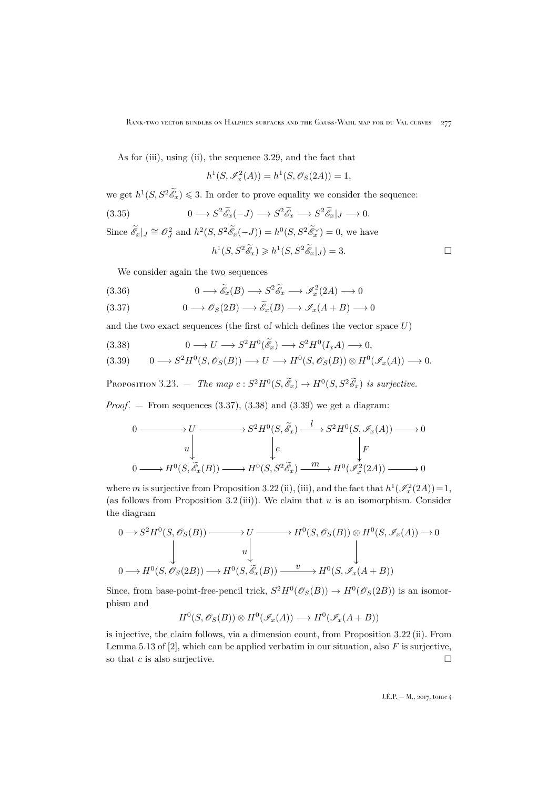As for (iii), using (ii), the sequence [3.29,](#page-19-1) and the fact that

$$
h^{1}(S, \mathscr{I}_{x}^{2}(A)) = h^{1}(S, \mathscr{O}_{S}(2A)) = 1,
$$

we get  $h^1(S, S^2 \tilde{\mathscr{E}}_x) \leq 3$ . In order to prove equality we consider the sequence:

(3.35) 
$$
0 \longrightarrow S^2 \widetilde{\mathscr{E}}_x(-J) \longrightarrow S^2 \widetilde{\mathscr{E}}_x \longrightarrow S^2 \widetilde{\mathscr{E}}_x |_J \longrightarrow 0.
$$
  
Since  $\widetilde{\mathscr{E}}_x|_J \cong \mathscr{O}_J^2$  and  $h^2(S, S^2 \widetilde{\mathscr{E}}_x(-J)) = h^0(S, S^2 \widetilde{\mathscr{E}}_x) = 0$ , we have  
 $h^1(S, S^2 \widetilde{\mathscr{E}}_x) \geq h^1(S, S^2 \widetilde{\mathscr{E}}_x|_J) = 3.$ 

We consider again the two sequences

(3.36) 
$$
0 \longrightarrow \widetilde{\mathscr{E}}_x(B) \longrightarrow S^2 \widetilde{\mathscr{E}}_x \longrightarrow \mathscr{S}_x^2(2A) \longrightarrow 0
$$

<span id="page-21-0"></span>
$$
(3.37) \t 0 \longrightarrow \mathscr{O}_S(2B) \longrightarrow \widetilde{\mathscr{E}}_x(B) \longrightarrow \mathscr{I}_x(A+B) \longrightarrow 0
$$

and the two exact sequences (the first of which defines the vector space  $U$ )

<span id="page-21-1"></span>(3.38) 
$$
0 \longrightarrow U \longrightarrow S^2 H^0(\tilde{\mathscr{E}}_x) \longrightarrow S^2 H^0(I_x A) \longrightarrow 0,
$$

<span id="page-21-2"></span>
$$
(3.39) \qquad 0 \longrightarrow S^2 H^0(S, \mathscr{O}_S(B)) \longrightarrow U \longrightarrow H^0(S, \mathscr{O}_S(B)) \otimes H^0(\mathscr{I}_x(A)) \longrightarrow 0.
$$

<span id="page-21-3"></span>PROPOSITION 3.23. — *The map*  $c: S^2H^0(S, \widetilde{\mathcal{E}}_x) \to H^0(S, S^2\widetilde{\mathcal{E}}_x)$  *is surjective.* 

*Proof.*  $-$  From sequences  $(3.37), (3.38)$  $(3.37), (3.38)$  $(3.37), (3.38)$  and  $(3.39)$  we get a diagram:

$$
0 \longrightarrow U \longrightarrow S^2 H^0(S, \widetilde{\mathcal{E}}_x) \xrightarrow{l} S^2 H^0(S, \mathcal{I}_x(A)) \longrightarrow 0
$$
  
\n
$$
u \downarrow \qquad \qquad \downarrow c \qquad \qquad \downarrow F
$$
  
\n
$$
0 \longrightarrow H^0(S, \widetilde{\mathcal{E}}_x(B)) \longrightarrow H^0(S, S^2 \widetilde{\mathcal{E}}_x) \xrightarrow{m} H^0(\mathcal{I}_x^2(2A)) \longrightarrow 0
$$

where m is surjective from Proposition [3.22](#page-19-2) (ii), (iii), and the fact that  $h^1(\mathscr{I}_x^2(2A))=1$ , (as follows from Proposition [3.2](#page-7-1) (iii)). We claim that  $u$  is an isomorphism. Consider the diagram

$$
0 \to S^2 H^0(S, \mathscr{O}_S(B)) \longrightarrow U \longrightarrow H^0(S, \mathscr{O}_S(B)) \otimes H^0(S, \mathscr{I}_x(A)) \to 0
$$
  
\n
$$
\downarrow \qquad \qquad \downarrow
$$
  
\n
$$
0 \to H^0(S, \mathscr{O}_S(2B)) \longrightarrow H^0(S, \widetilde{\mathscr{E}}_x(B)) \xrightarrow{v} H^0(S, \mathscr{I}_x(A+B))
$$

Since, from base-point-free-pencil trick,  $S^2H^0(\mathscr{O}_S(B)) \to H^0(\mathscr{O}_S(2B))$  is an isomorphism and

$$
H^0(S, \mathscr{O}_S(B)) \otimes H^0(\mathscr{I}_x(A)) \longrightarrow H^0(\mathscr{I}_x(A+B))
$$

is injective, the claim follows, via a dimension count, from Proposition [3.22](#page-19-2) (ii). From Lemma 5.13 of  $[2]$ , which can be applied verbatim in our situation, also F is surjective, so that c is also surjective.  $\Box$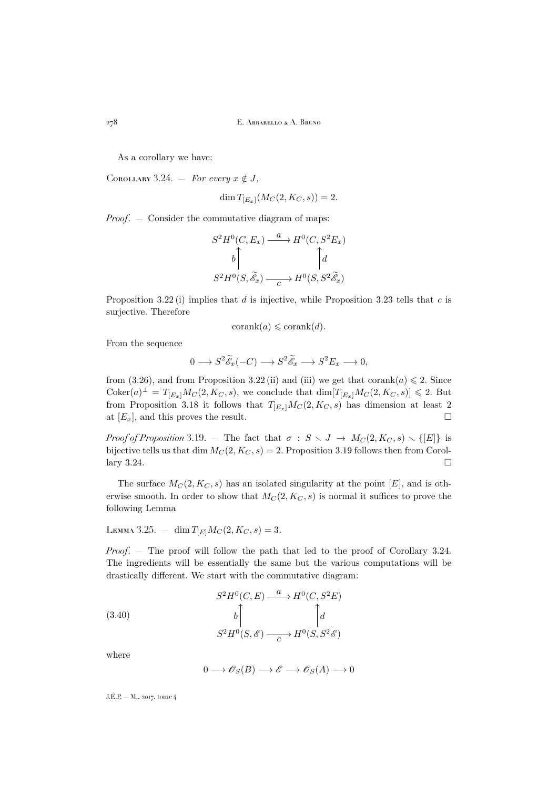As a corollary we have:

<span id="page-22-0"></span>COROLLARY 3.24. — *For every*  $x \notin J$ ,

$$
\dim T_{[E_x]}(M_C(2, K_C, s)) = 2.
$$

*Proof.* — Consider the commutative diagram of maps:

$$
S^2H^0(C, E_x) \xrightarrow{a} H^0(C, S^2E_x)
$$
  

$$
b \qquad \qquad b \qquad \qquad \uparrow d
$$
  

$$
S^2H^0(S, \widetilde{\mathscr{E}}_x) \xrightarrow{c} H^0(S, S^2\widetilde{\mathscr{E}}_x)
$$

Proposition [3.22](#page-19-2) (i) implies that  $d$  is injective, while Proposition [3.23](#page-21-3) tells that  $c$  is surjective. Therefore

$$
corank(a) \leqslant corank(d).
$$

From the sequence

$$
0 \longrightarrow S^2 \widetilde{\mathscr{E}}_x(-C) \longrightarrow S^2 \widetilde{\mathscr{E}}_x \longrightarrow S^2 E_x \longrightarrow 0,
$$

from [\(3.26\)](#page-19-3), and from Proposition [3.22](#page-19-2) (ii) and (iii) we get that corank(a)  $\leq 2$ . Since  $\text{Coker}(a)^{\perp} = T_{[E_x]} M_C(2, K_C, s)$ , we conclude that  $\dim [T_{[E_x]} M_C(2, K_C, s)] \leq 2$ . But from Proposition [3.18](#page-18-0) it follows that  $T_{[E_x]}M_C(2, K_C, s)$  has dimension at least 2 at  $[E_x]$ , and this proves the result.

*Proof of Proposition* [3.19.](#page-19-4) — The fact that  $\sigma : S \setminus J \to M_C(2, K_C, s) \setminus \{[E]\}$  is bijective tells us that dim  $M_C(2, K_C, s) = 2$ . Proposition [3.19](#page-19-4) follows then from Corol- $\ln y$  [3.24.](#page-22-0)

The surface  $M_C(2, K_C, s)$  has an isolated singularity at the point [E], and is otherwise smooth. In order to show that  $M_C(2, K_C, s)$  is normal it suffices to prove the following Lemma

<span id="page-22-1"></span>LEMMA 3.25. 
$$
= \dim T_{[E]} M_C(2, K_C, s) = 3.
$$

*Proof.* — The proof will follow the path that led to the proof of Corollary [3.24.](#page-22-0) The ingredients will be essentially the same but the various computations will be drastically different. We start with the commutative diagram:

(3.40)  
\n
$$
S^{2}H^{0}(C, E) \xrightarrow{a} H^{0}(C, S^{2}E)
$$
\n
$$
b \qquad \qquad b \qquad \qquad \int_{C} d
$$
\n
$$
S^{2}H^{0}(S, \mathscr{E}) \xrightarrow{c} H^{0}(S, S^{2} \mathscr{E})
$$

where

$$
0 \longrightarrow \mathscr{O}_S(B) \longrightarrow \mathscr{E} \longrightarrow \mathscr{O}_S(A) \longrightarrow 0
$$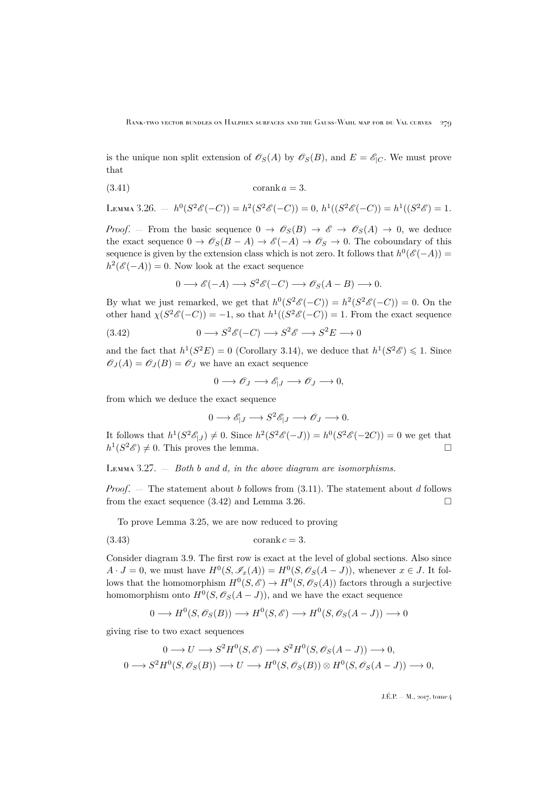is the unique non split extension of  $\mathscr{O}_S(A)$  by  $\mathscr{O}_S(B)$ , and  $E = \mathscr{E}_{|C}$ . We must prove that

$$
(3.41)\qquad \qquad \text{corank } a = 3.
$$

<span id="page-23-1"></span>LEMMA 3.26.  $- h^0(S^2 \mathscr{E}(-C)) = h^2(S^2 \mathscr{E}(-C)) = 0, h^1((S^2 \mathscr{E}(-C)) = h^1((S^2 \mathscr{E}) = 1.$ 

*Proof.* – From the basic sequence  $0 \to \mathscr{O}_S(B) \to \mathscr{E} \to \mathscr{O}_S(A) \to 0$ , we deduce the exact sequence  $0 \to \mathscr{O}_S(B-A) \to \mathscr{E}(-A) \to \mathscr{O}_S \to 0$ . The coboundary of this sequence is given by the extension class which is not zero. It follows that  $h^0(\mathscr{E}(-A))$  =  $h^2(\mathscr{E}(-A)) = 0$ . Now look at the exact sequence

<span id="page-23-0"></span>
$$
0 \longrightarrow \mathscr{E}(-A) \longrightarrow S^2 \mathscr{E}(-C) \longrightarrow \mathscr{O}_S(A-B) \longrightarrow 0.
$$

By what we just remarked, we get that  $h^0(S^2 \mathscr{E}(-C)) = h^2(S^2 \mathscr{E}(-C)) = 0$ . On the other hand  $\chi(S^2 \mathscr{E}(-C)) = -1$ , so that  $h^1((S^2 \mathscr{E}(-C)) = 1$ . From the exact sequence

(3.42) 
$$
0 \longrightarrow S^2 \mathscr{E}(-C) \longrightarrow S^2 \mathscr{E} \longrightarrow S^2 E \longrightarrow 0
$$

and the fact that  $h^1(S^2E) = 0$  (Corollary [3.14\)](#page-15-3), we deduce that  $h^1(S^2\mathscr{E}) \leq 1$ . Since  $\mathscr{O}_J(A) = \mathscr{O}_J(B) = \mathscr{O}_J$  we have an exact sequence

$$
0 \longrightarrow \mathscr{O}_J \longrightarrow \mathscr{E}_{|J} \longrightarrow \mathscr{O}_J \longrightarrow 0,
$$

from which we deduce the exact sequence

$$
0 \longrightarrow \mathscr{E}_{|J} \longrightarrow S^2 \mathscr{E}_{|J} \longrightarrow \mathscr{O}_J \longrightarrow 0.
$$

It follows that  $h^1(S^2 \mathscr{E}_{|J}) \neq 0$ . Since  $h^2(S^2 \mathscr{E}(-J)) = h^0(S^2 \mathscr{E}(-2C)) = 0$  we get that  $h^1(S^2\mathscr{E}) \neq 0$ . This proves the lemma.

Lemma 3.27. — *Both* b *and* d*, in the above diagram are isomorphisms.*

*Proof.*  $-$  The statement about b follows from  $(3.11)$ . The statement about d follows from the exact sequence  $(3.42)$  and Lemma [3.26.](#page-23-1)

To prove Lemma [3.25,](#page-22-1) we are now reduced to proving

$$
(3.43)\qquad \qquad \text{corank }c=3.
$$

Consider diagram [3.9.](#page-13-2) The first row is exact at the level of global sections. Also since  $A \cdot J = 0$ , we must have  $H^0(S, \mathscr{I}_x(A)) = H^0(S, \mathscr{O}_S(A-J))$ , whenever  $x \in J$ . It follows that the homomorphism  $H^0(S, \mathscr{E}) \to H^0(S, \mathscr{O}_S(A))$  factors through a surjective homomorphism onto  $H^0(S, \mathcal{O}_S(A-J))$ , and we have the exact sequence

$$
0 \longrightarrow H^0(S, \mathcal{O}_S(B)) \longrightarrow H^0(S, \mathcal{E}) \longrightarrow H^0(S, \mathcal{O}_S(A-J)) \longrightarrow 0
$$

giving rise to two exact sequences

$$
0 \longrightarrow U \longrightarrow S^2H^0(S, \mathscr{E}) \longrightarrow S^2H^0(S, \mathscr{O}_S(A-J)) \longrightarrow 0,
$$
  

$$
0 \longrightarrow S^2H^0(S, \mathscr{O}_S(B)) \longrightarrow U \longrightarrow H^0(S, \mathscr{O}_S(B)) \otimes H^0(S, \mathscr{O}_S(A-J)) \longrightarrow 0,
$$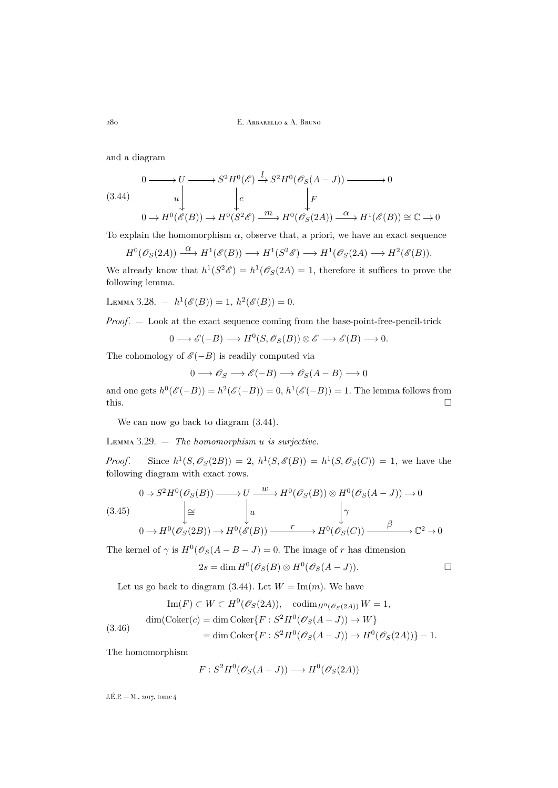and a diagram

<span id="page-24-1"></span>
$$
(3.44) \quad 0 \longrightarrow U \longrightarrow S^2 H^0(\mathscr{E}) \xrightarrow{l} S^2 H^0(\mathscr{O}_S(A-J)) \longrightarrow 0
$$
  

$$
(3.44) \quad u \downarrow \qquad \qquad \downarrow c \qquad \qquad \downarrow F
$$
  

$$
0 \longrightarrow H^0(\mathscr{E}(B)) \longrightarrow H^0(S^2 \mathscr{E}) \xrightarrow{m} H^0(\mathscr{O}_S(2A)) \xrightarrow{\alpha} H^1(\mathscr{E}(B)) \cong \mathbb{C} \longrightarrow 0
$$

To explain the homomorphism  $\alpha$ , observe that, a priori, we have an exact sequence

$$
H^0(\mathcal{O}_S(2A)) \xrightarrow{\alpha} H^1(\mathcal{E}(B)) \longrightarrow H^1(S^2\mathcal{E}) \longrightarrow H^1(\mathcal{O}_S(2A) \longrightarrow H^2(\mathcal{E}(B)).
$$

We already know that  $h^1(S^2\mathscr{E}) = h^1(\mathscr{O}_S(2A) = 1$ , therefore it suffices to prove the following lemma.

LEMMA 3.28. – 
$$
h^1(\mathscr{E}(B)) = 1
$$
,  $h^2(\mathscr{E}(B)) = 0$ .

*Proof*. — Look at the exact sequence coming from the base-point-free-pencil-trick

$$
0 \longrightarrow \mathscr{E}(-B) \longrightarrow H^0(S, \mathscr{O}_S(B)) \otimes \mathscr{E} \longrightarrow \mathscr{E}(B) \longrightarrow 0.
$$

The cohomology of  $\mathscr{E}(-B)$  is readily computed via

$$
0 \longrightarrow \mathscr{O}_S \longrightarrow \mathscr{E}(-B) \longrightarrow \mathscr{O}_S(A - B) \longrightarrow 0
$$

and one gets  $h^0(\mathscr{E}(-B)) = h^2(\mathscr{E}(-B)) = 0$ ,  $h^1(\mathscr{E}(-B)) = 1$ . The lemma follows from  $\Box$ 

We can now go back to diagram  $(3.44)$ .

<span id="page-24-0"></span>Lemma 3.29. — *The homomorphism* u *is surjective.*

*Proof.* – Since  $h^1(S, \mathscr{O}_S(2B)) = 2$ ,  $h^1(S, \mathscr{E}(B)) = h^1(S, \mathscr{O}_S(C)) = 1$ , we have the following diagram with exact rows.

$$
(3.45) \qquad \qquad 0 \to S^2 H^0(\mathscr{O}_S(B)) \longrightarrow U \xrightarrow{w} H^0(\mathscr{O}_S(B)) \otimes H^0(\mathscr{O}_S(A-J)) \to 0
$$
\n
$$
\downarrow \cong \qquad \qquad \downarrow u \qquad \qquad \downarrow \gamma
$$
\n
$$
0 \to H^0(\mathscr{O}_S(2B)) \to H^0(\mathscr{E}(B)) \xrightarrow{r} H^0(\mathscr{O}_S(C)) \xrightarrow{\beta} \mathbb{C}^2 \to 0
$$

The kernel of  $\gamma$  is  $H^0(\mathscr{O}_S(A - B - J) = 0$ . The image of r has dimension

$$
2s = \dim H^0(\mathscr{O}_S(B) \otimes H^0(\mathscr{O}_S(A-J)).
$$

Let us go back to diagram [\(3.44\)](#page-24-1). Let  $W = \text{Im}(m)$ . We have

<span id="page-24-2"></span>
$$
\text{Im}(F) \subset W \subset H^0(\mathcal{O}_S(2A)), \quad \text{codim}_{H^0(\mathcal{O}_S(2A))} W = 1,
$$
\n
$$
\text{dim}(\text{Coker}(c) = \dim \text{Coker}\{F : S^2 H^0(\mathcal{O}_S(A - J)) \to W\}
$$
\n
$$
= \dim \text{Coker}\{F : S^2 H^0(\mathcal{O}_S(A - J)) \to H^0(\mathcal{O}_S(2A))\} - 1.
$$

The homomorphism

$$
F: S^2H^0(\mathscr{O}_S(A-J)) \longrightarrow H^0(\mathscr{O}_S(2A))
$$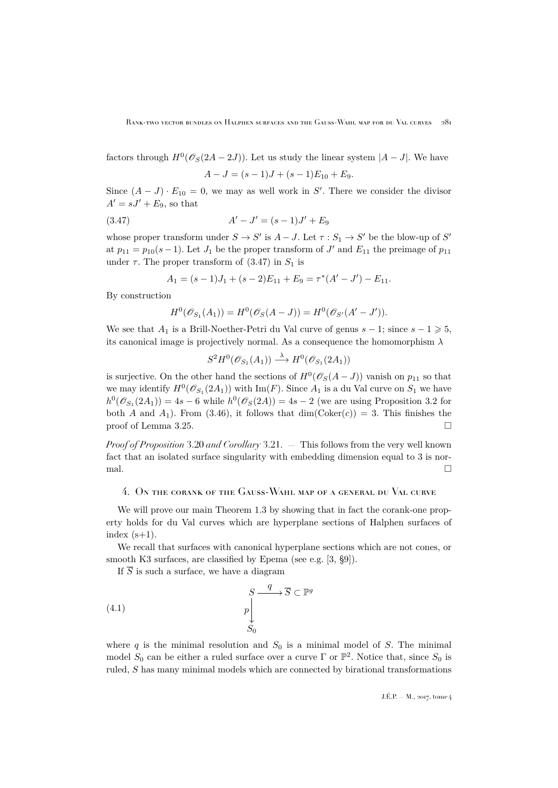factors through  $H^0(\mathcal{O}_S(2A-2J))$ . Let us study the linear system  $|A-J|$ . We have

<span id="page-25-1"></span>
$$
A-J = (s-1)J + (s-1)E_{10} + E_9.
$$

Since  $(A - J) \cdot E_{10} = 0$ , we may as well work in S'. There we consider the divisor  $A' = sJ' + E_9$ , so that

(3.47) 
$$
A' - J' = (s - 1)J' + E_9
$$

whose proper transform under  $S \to S'$  is  $A-J$ . Let  $\tau : S_1 \to S'$  be the blow-up of  $S'$ at  $p_{11} = p_{10}(s-1)$ . Let  $J_1$  be the proper transform of  $J'$  and  $E_{11}$  the preimage of  $p_{11}$ under  $\tau$ . The proper transform of [\(3.47\)](#page-25-1) in  $S_1$  is

$$
A_1 = (s-1)J_1 + (s-2)E_{11} + E_9 = \tau^*(A' - J') - E_{11}.
$$

By construction

$$
H^{0}(\mathscr{O}_{S_{1}}(A_{1})) = H^{0}(\mathscr{O}_{S}(A-J)) = H^{0}(\mathscr{O}_{S'}(A'-J')).
$$

We see that  $A_1$  is a Brill-Noether-Petri du Val curve of genus  $s - 1$ ; since  $s - 1 \geq 5$ , its canonical image is projectively normal. As a consequence the homomorphism  $\lambda$ 

$$
S^2H^0(\mathscr{O}_{S_1}(A_1)) \stackrel{\lambda}{\longrightarrow} H^0(\mathscr{O}_{S_1}(2A_1))
$$

is surjective. On the other hand the sections of  $H^0(\mathscr{O}_S(A-J))$  vanish on  $p_{11}$  so that we may identify  $H^0(\mathcal{O}_{S_1}(2A_1))$  with  $\text{Im}(F)$ . Since  $A_1$  is a du Val curve on  $S_1$  we have  $h^0(\mathcal{O}_{S_1}(2A_1)) = 4s - 6$  while  $h^0(\mathcal{O}_{S}(2A)) = 4s - 2$  (we are using Proposition [3.2](#page-7-1) for both A and  $A_1$ ). From [\(3.46\)](#page-24-2), it follows that  $\dim(\mathrm{Coker}(c)) = 3$ . This finishes the proof of Lemma [3.25.](#page-22-1)

*Proof of Proposition* [3.20](#page-19-5) *and Corollary* [3.21.](#page-19-6) — This follows from the very well known fact that an isolated surface singularity with embedding dimension equal to 3 is nor $m$ al.

#### <span id="page-25-0"></span>4. On the corank of the Gauss-Wahl map of a general du Val curve

We will prove our main Theorem [1.3](#page-2-1) by showing that in fact the corank-one property holds for du Val curves which are hyperplane sections of Halphen surfaces of index  $(s+1)$ .

We recall that surfaces with canonical hyperplane sections which are not cones, or smooth K3 surfaces, are classified by Epema (see e.g. [\[3,](#page-29-1) §9]).

If  $\overline{S}$  is such a surface, we have a diagram

(4.1) 
$$
\begin{array}{c}\nS \xrightarrow{q} \overline{S} \subset \mathbb{P}^g \\
p \downarrow \\
S_0\n\end{array}
$$

where q is the minimal resolution and  $S_0$  is a minimal model of S. The minimal model  $S_0$  can be either a ruled surface over a curve  $\Gamma$  or  $\mathbb{P}^2$ . Notice that, since  $S_0$  is ruled, S has many minimal models which are connected by birational transformations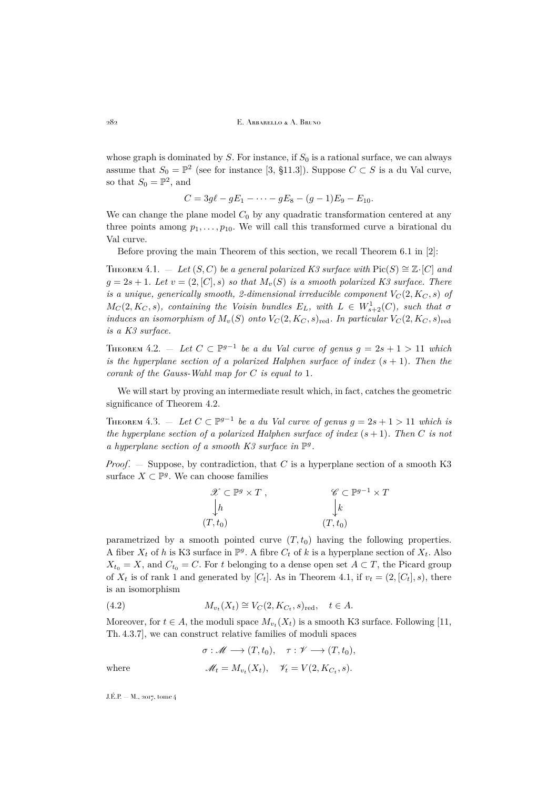whose graph is dominated by  $S$ . For instance, if  $S_0$  is a rational surface, we can always assume that  $S_0 = \mathbb{P}^2$  (see for instance [\[3,](#page-29-1) §11.3]). Suppose  $C \subset S$  is a du Val curve, so that  $S_0 = \mathbb{P}^2$ , and

$$
C = 3g\ell - gE_1 - \cdots - gE_8 - (g-1)E_9 - E_{10}.
$$

We can change the plane model  $C_0$  by any quadratic transformation centered at any three points among  $p_1, \ldots, p_{10}$ . We will call this transformed curve a birational du Val curve.

Before proving the main Theorem of this section, we recall Theorem 6.1 in [\[2\]](#page-29-5):

<span id="page-26-1"></span>THEOREM 4.1. — Let  $(S, C)$  be a general polarized K3 surface with Pic $(S) \cong \mathbb{Z} \cdot [C]$  and  $g = 2s + 1$ *. Let*  $v = (2, [C], s)$  *so that*  $M_v(S)$  *is a smooth polarized K3 surface. There is a unique, generically smooth, 2-dimensional irreducible component*  $V_C(2, K_C, s)$  of  $M_C(2, K_C, s)$ , containing the Voisin bundles  $E_L$ , with  $L \in W^1_{s+2}(C)$ , such that  $\sigma$ *induces an isomorphism of*  $M_v(S)$  *onto*  $V_C(2, K_C, s)_{\text{red}}$ *. In particular*  $V_C(2, K_C, s)_{\text{red}}$ *is a K3 surface.*

<span id="page-26-0"></span>THEOREM 4.2. — Let  $C \subset \mathbb{P}^{g-1}$  be a du Val curve of genus  $g = 2s + 1 > 11$  which *is the hyperplane section of a polarized Halphen surface of index*  $(s + 1)$ *. Then the corank of the Gauss-Wahl map for* C *is equal to* 1*.*

We will start by proving an intermediate result which, in fact, catches the geometric significance of Theorem [4.2.](#page-26-0)

THEOREM 4.3. — Let  $C \subset \mathbb{P}^{g-1}$  be a du Val curve of genus  $g = 2s + 1 > 11$  which is *the hyperplane section of a polarized Halphen surface of index*  $(s + 1)$ *. Then* C *is not* a hyperplane section of a smooth K3 surface in  $\mathbb{P}^g$ .

*Proof*. — Suppose, by contradiction, that C is a hyperplane section of a smooth K3 surface  $X \subset \mathbb{P}^g$ . We can choose families

$$
\mathscr{X} \subset \mathbb{P}^g \times T , \qquad \mathscr{C} \subset \mathbb{P}^{g-1} \times T \n\downarrow h \qquad \qquad \downarrow k \n(T, t_0) \qquad \qquad (T, t_0)
$$

parametrized by a smooth pointed curve  $(T, t_0)$  having the following properties. A fiber  $X_t$  of h is K3 surface in  $\mathbb{P}^g$ . A fibre  $C_t$  of k is a hyperplane section of  $X_t$ . Also  $X_{t_0} = X$ , and  $C_{t_0} = C$ . For t belonging to a dense open set  $A \subset T$ , the Picard group of  $X_t$  is of rank 1 and generated by  $[C_t]$ . As in Theorem [4.1,](#page-26-1) if  $v_t = (2, [C_t], s)$ , there is an isomorphism

(4.2) 
$$
M_{v_t}(X_t) \cong V_C(2, K_{C_t}, s)_{\text{red}}, \quad t \in A.
$$

Moreover, for  $t \in A$ , the moduli space  $M_{v_t}(X_t)$  is a smooth K3 surface. Following [\[11,](#page-29-9) Th. 4.3.7], we can construct relative families of moduli spaces

<span id="page-26-2"></span>
$$
\sigma: \mathscr{M} \longrightarrow (T, t_0), \quad \tau: \mathscr{V} \longrightarrow (T, t_0),
$$

where 
$$
\mathscr{M}_t = M_{v_t}(X_t), \quad \mathscr{V}_t = V(2, K_{C_t}, s).
$$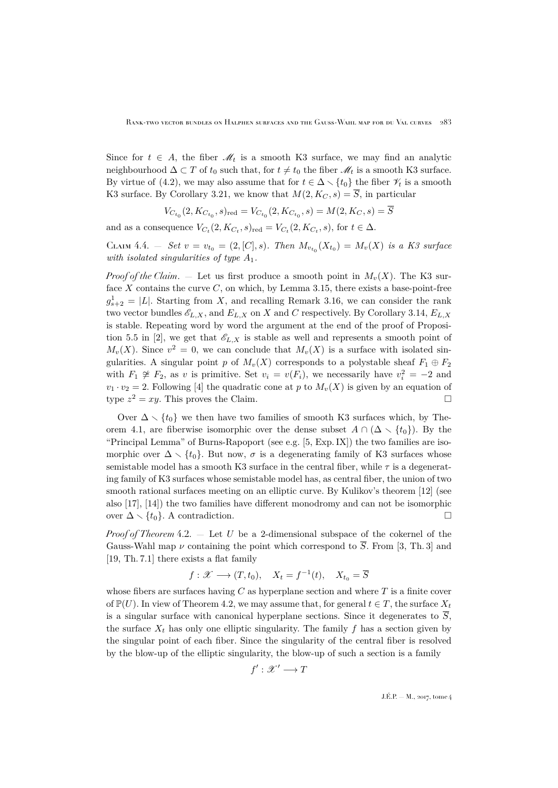Since for  $t \in A$ , the fiber  $\mathcal{M}_t$  is a smooth K3 surface, we may find an analytic neighbourhood  $\Delta \subset T$  of  $t_0$  such that, for  $t \neq t_0$  the fiber  $\mathcal{M}_t$  is a smooth K3 surface. By virtue of [\(4.2\)](#page-26-2), we may also assume that for  $t \in \Delta \setminus \{t_0\}$  the fiber  $\mathscr{V}_t$  is a smooth K3 surface. By Corollary [3.21,](#page-19-6) we know that  $M(2, K_C, s) = \overline{S}$ , in particular

$$
V_{C_{t_0}}(2, K_{C_{t_0}}, s)_{\text{red}} = V_{C_{t_0}}(2, K_{C_{t_0}}, s) = M(2, K_C, s) = \overline{S}
$$

and as a consequence  $V_{C_t}(2, K_{C_t}, s)_{\text{red}} = V_{C_t}(2, K_{C_t}, s)$ , for  $t \in \Delta$ .

CLAIM 4.4. – *Set*  $v = v_{t_0} = (2, [C], s)$ *. Then*  $M_{v_{t_0}}(X_{t_0}) = M_v(X)$  *is a K3 surface with isolated singularities of type* A1*.*

*Proof of the Claim.*  $-$  Let us first produce a smooth point in  $M_v(X)$ . The K3 surface  $X$  contains the curve  $C$ , on which, by Lemma [3.15,](#page-15-4) there exists a base-point-free  $g_{s+2}^1 = |L|$ . Starting from X, and recalling Remark [3.16,](#page-16-0) we can consider the rank two vector bundles  $\mathscr{E}_{L,X}$ , and  $E_{L,X}$  on X and C respectively. By Corollary [3.14,](#page-15-3)  $E_{L,X}$ is stable. Repeating word by word the argument at the end of the proof of Proposi-tion 5.5 in [\[2\]](#page-29-5), we get that  $\mathscr{E}_{L,X}$  is stable as well and represents a smooth point of  $M_v(X)$ . Since  $v^2 = 0$ , we can conclude that  $M_v(X)$  is a surface with isolated singularities. A singular point p of  $M_v(X)$  corresponds to a polystable sheaf  $F_1 \oplus F_2$ with  $F_1 \not\cong F_2$ , as v is primitive. Set  $v_i = v(F_i)$ , we necessarily have  $v_i^2 = -2$  and  $v_1 \cdot v_2 = 2$ . Following [\[4\]](#page-29-16) the quadratic cone at p to  $M_v(X)$  is given by an equation of type  $z^2 = xy$ . This proves the Claim.

Over  $\Delta \setminus \{t_0\}$  we then have two families of smooth K3 surfaces which, by The-orem [4.1,](#page-26-1) are fiberwise isomorphic over the dense subset  $A \cap (\Delta \setminus \{t_0\})$ . By the "Principal Lemma" of Burns-Rapoport (see e.g. [\[5,](#page-29-17) Exp. IX]) the two families are isomorphic over  $\Delta \setminus \{t_0\}$ . But now,  $\sigma$  is a degenerating family of K3 surfaces whose semistable model has a smooth K3 surface in the central fiber, while  $\tau$  is a degenerating family of K3 surfaces whose semistable model has, as central fiber, the union of two smooth rational surfaces meeting on an elliptic curve. By Kulikov's theorem [\[12\]](#page-29-18) (see also [\[17\]](#page-29-19), [\[14\]](#page-29-20)) the two families have different monodromy and can not be isomorphic over  $\Delta \setminus \{t_0\}$ . A contradiction.

*Proof of Theorem* [4.2.](#page-26-0) — Let U be a 2-dimensional subspace of the cokernel of the Gauss-Wahl map  $\nu$  containing the point which correspond to  $\overline{S}$ . From [\[3,](#page-29-1) Th. 3] and [\[19,](#page-29-3) Th. 7.1] there exists a flat family

$$
f: \mathscr{X} \longrightarrow (T, t_0), \quad X_t = f^{-1}(t), \quad X_{t_0} = \overline{S}
$$

whose fibers are surfaces having  $C$  as hyperplane section and where  $T$  is a finite cover of  $\mathbb{P}(U)$ . In view of Theorem [4.2,](#page-26-0) we may assume that, for general  $t \in T$ , the surface  $X_t$ is a singular surface with canonical hyperplane sections. Since it degenerates to  $\overline{S}$ , the surface  $X_t$  has only one elliptic singularity. The family f has a section given by the singular point of each fiber. Since the singularity of the central fiber is resolved by the blow-up of the elliptic singularity, the blow-up of such a section is a family

$$
f':\mathscr{X}'\longrightarrow T
$$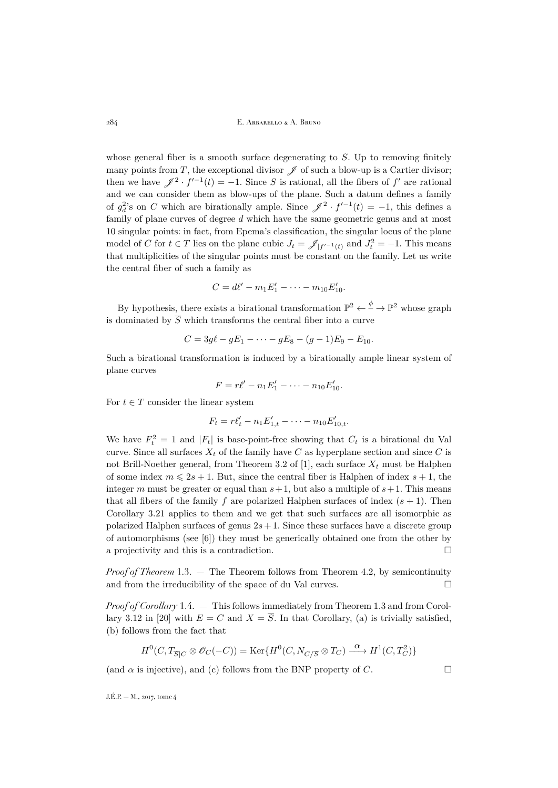whose general fiber is a smooth surface degenerating to  $S$ . Up to removing finitely many points from T, the exceptional divisor  $\mathscr I$  of such a blow-up is a Cartier divisor; then we have  $\mathscr{J}^2 \cdot f'^{-1}(t) = -1$ . Since S is rational, all the fibers of f' are rational and we can consider them as blow-ups of the plane. Such a datum defines a family of  $g_d^2$ 's on C which are birationally ample. Since  $\mathscr{J}^2 \cdot f'^{-1}(t) = -1$ , this defines a family of plane curves of degree d which have the same geometric genus and at most 10 singular points: in fact, from Epema's classification, the singular locus of the plane model of C for  $t \in T$  lies on the plane cubic  $J_t = \mathscr{J}_{|f'^{-1}(t)}$  and  $J_t^2 = -1$ . This means that multiplicities of the singular points must be constant on the family. Let us write the central fiber of such a family as

$$
C = d\ell' - m_1 E_1' - \dots - m_{10} E_{10}'.
$$

By hypothesis, there exists a birational transformation  $\mathbb{P}^2 \leftarrow \xrightarrow{\phi} \mathbb{P}^2$  whose graph is dominated by  $\overline{S}$  which transforms the central fiber into a curve

$$
C = 3g\ell - gE_1 - \cdots - gE_8 - (g-1)E_9 - E_{10}.
$$

Such a birational transformation is induced by a birationally ample linear system of plane curves

$$
F = r\ell' - n_1E'_1 - \cdots - n_{10}E'_{10}.
$$

For  $t \in T$  consider the linear system

$$
F_t = r\ell'_t - n_1 E'_{1,t} - \dots - n_{10} E'_{10,t}.
$$

We have  $F_t^2 = 1$  and  $|F_t|$  is base-point-free showing that  $C_t$  is a birational du Val curve. Since all surfaces  $X_t$  of the family have C as hyperplane section and since C is not Brill-Noether general, from Theorem 3.2 of [\[1\]](#page-29-0), each surface  $X_t$  must be Halphen of some index  $m \leq 2s + 1$ . But, since the central fiber is Halphen of index  $s + 1$ , the integer m must be greater or equal than  $s+1$ , but also a multiple of  $s+1$ . This means that all fibers of the family f are polarized Halphen surfaces of index  $(s + 1)$ . Then Corollary [3.21](#page-19-6) applies to them and we get that such surfaces are all isomorphic as polarized Halphen surfaces of genus  $2s + 1$ . Since these surfaces have a discrete group of automorphisms (see [\[6\]](#page-29-4)) they must be generically obtained one from the other by a projectivity and this is a contradiction.  $\Box$ 

*Proof of Theorem* [1.3.](#page-2-1) — The Theorem follows from Theorem [4.2,](#page-26-0) by semicontinuity and from the irreducibility of the space of du Val curves.  $\Box$ 

*Proof of Corollary* [1.4.](#page-2-2) — This follows immediately from Theorem [1.3](#page-2-1) and from Corol-lary 3.12 in [\[20\]](#page-29-6) with  $E = C$  and  $X = \overline{S}$ . In that Corollary, (a) is trivially satisfied, (b) follows from the fact that

$$
H^0(C, T_{\overline{S}|C} \otimes \mathscr{O}_C(-C)) = \text{Ker}\{H^0(C, N_{C/\overline{S}} \otimes T_C) \xrightarrow{\alpha} H^1(C, T_C^2)\}
$$

(and  $\alpha$  is injective), and (c) follows from the BNP property of C.